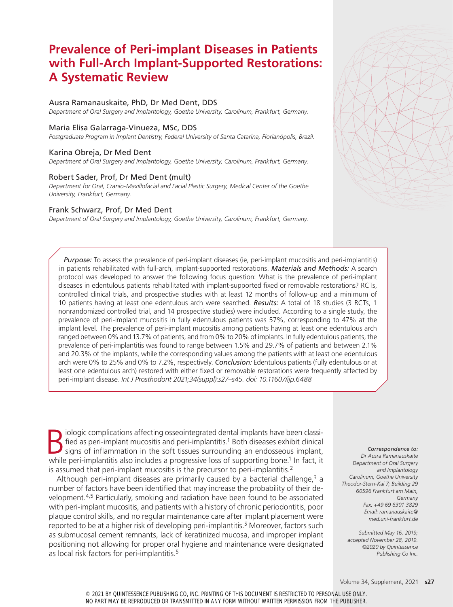# **Prevalence of Peri-implant Diseases in Patients with Full-Arch Implant-Supported Restorations: A Systematic Review**

# Ausra Ramanauskaite, PhD, Dr Med Dent, DDS

*Department of Oral Surgery and Implantology, Goethe University, Carolinum, Frankfurt, Germany.*

### Maria Elisa Galarraga-Vinueza, MSc, DDS

*Postgraduate Program in Implant Dentistry, Federal University of Santa Catarina, Florianópolis, Brazil.*

# Karina Obreja, Dr Med Dent

*Department of Oral Surgery and Implantology, Goethe University, Carolinum, Frankfurt, Germany.*

# Robert Sader, Prof, Dr Med Dent (mult)

*Department for Oral, Cranio-Maxillofacial and Facial Plastic Surgery, Medical Center of the Goethe University, Frankfurt, Germany.*

# Frank Schwarz, Prof, Dr Med Dent

*Department of Oral Surgery and Implantology, Goethe University, Carolinum, Frankfurt, Germany.*

*Purpose:* To assess the prevalence of peri-implant diseases (ie, peri-implant mucositis and peri-implantitis) in patients rehabilitated with full-arch, implant-supported restorations. *Materials and Methods:* A search protocol was developed to answer the following focus question: What is the prevalence of peri-implant diseases in edentulous patients rehabilitated with implant-supported fixed or removable restorations? RCTs, controlled clinical trials, and prospective studies with at least 12 months of follow-up and a minimum of 10 patients having at least one edentulous arch were searched. *Results:* A total of 18 studies (3 RCTs, 1 nonrandomized controlled trial, and 14 prospective studies) were included. According to a single study, the prevalence of peri-implant mucositis in fully edentulous patients was 57%, corresponding to 47% at the implant level. The prevalence of peri-implant mucositis among patients having at least one edentulous arch ranged between 0% and 13.7% of patients, and from 0% to 20% of implants. In fully edentulous patients, the prevalence of peri-implantitis was found to range between 1.5% and 29.7% of patients and between 2.1% and 20.3% of the implants, while the corresponding values among the patients with at least one edentulous arch were 0% to 25% and 0% to 7.2%, respectively. *Conclusion:* Edentulous patients (fully edentulous or at least one edentulous arch) restored with either fixed or removable restorations were frequently affected by peri-implant disea*se. Int J Prosthodont 2021;34(suppl):s27–s45. doi: 10.11607/ijp.6488*

Biologic complications affecting osseointegrated dental implants have been classi-<br>fied as peri-implant mucositis and peri-implantitis.<sup>1</sup> Both diseases exhibit clinical<br>signs of inflammation in the soft tissues surroundin fied as peri-implant mucositis and peri-implantitis.<sup>1</sup> Both diseases exhibit clinical while peri-implantitis also includes a progressive loss of supporting bone.<sup>1</sup> In fact, it is assumed that peri-implant mucositis is the precursor to peri-implantitis.<sup>2</sup>

Although peri-implant diseases are primarily caused by a bacterial challenge, $3$  a number of factors have been identified that may increase the probability of their development.4,5 Particularly, smoking and radiation have been found to be associated with peri-implant mucositis, and patients with a history of chronic periodontitis, poor plaque control skills, and no regular maintenance care after implant placement were reported to be at a higher risk of developing peri-implantitis.<sup>5</sup> Moreover, factors such as submucosal cement remnants, lack of keratinized mucosa, and improper implant positioning not allowing for proper oral hygiene and maintenance were designated as local risk factors for peri-implantitis.<sup>5</sup>

*Correspondence to: Dr Ausra Ramanauskaite Department of Oral Surgery and Implantology Carolinum, Goethe University Theodor-Stern-Kai 7; Building 29 60596 Frankfurt am Main, Germany Fax: +49 69 6301 3829 Email: ramanauskaite@ med.uni-frankfurt.de*

*Submitted May 16, 2019; accepted November 28, 2019. ©2020 by Quintessence Publishing Co Inc.*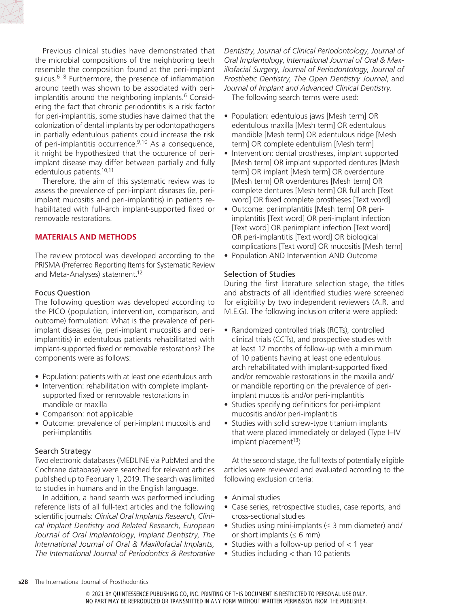

Previous clinical studies have demonstrated that the microbial compositions of the neighboring teeth resemble the composition found at the peri-implant sulcus.6–8 Furthermore, the presence of inflammation around teeth was shown to be associated with periimplantitis around the neighboring implants.<sup>6</sup> Considering the fact that chronic periodontitis is a risk factor for peri-implantitis, some studies have claimed that the colonization of dental implants by periodontopathogens in partially edentulous patients could increase the risk of peri-implantitis occurrence.9,10 As a consequence, it might be hypothesized that the occurence of periimplant disease may differ between partially and fully edentulous patients.10,11

Therefore, the aim of this systematic review was to assess the prevalence of peri-implant diseases (ie, periimplant mucositis and peri-implantitis) in patients rehabilitated with full-arch implant-supported fixed or removable restorations.

# **MATERIALS AND METHODS**

The review protocol was developed according to the PRISMA (Preferred Reporting Items for Systematic Review and Meta-Analyses) statement.<sup>12</sup>

### Focus Question

The following question was developed according to the PICO (population, intervention, comparison, and outcome) formulation: What is the prevalence of periimplant diseases (ie, peri-implant mucositis and periimplantitis) in edentulous patients rehabilitated with implant-supported fixed or removable restorations? The components were as follows:

- Population: patients with at least one edentulous arch
- Intervention: rehabilitation with complete implantsupported fixed or removable restorations in mandible or maxilla
- Comparison: not applicable
- Outcome: prevalence of peri-implant mucositis and peri-implantitis

### Search Strategy

Two electronic databases (MEDLINE via PubMed and the Cochrane database) were searched for relevant articles published up to February 1, 2019. The search was limited to studies in humans and in the English language.

In addition, a hand search was performed including reference lists of all full-text articles and the following scientific journals: *Clinical Oral Implants Research*, *Clinical Implant Dentistry and Related Research*, *European Journal of Oral Implantology*, *Implant Dentistry*, *The International Journal of Oral & Maxillofacial Implants, The International Journal of Periodontics & Restorative*  *Dentistry*, *Journal of Clinical Periodontology*, *Journal of Oral Implantology*, *International Journal of Oral & Maxillofacial Surgery*, *Journal of Periodontology*, *Journal of Prosthetic Dentistry*, *The Open Dentistry Journal*, and *Journal of Implant and Advanced Clinical Dentistry*.

The following search terms were used:

- Population: edentulous jaws [Mesh term] OR edentulous maxilla [Mesh term] OR edentulous mandible [Mesh term] OR edentulous ridge [Mesh term] OR complete edentulism [Mesh term]
- Intervention: dental prostheses, implant supported [Mesh term] OR implant supported dentures [Mesh term] OR implant [Mesh term] OR overdenture [Mesh term] OR overdentures [Mesh term] OR complete dentures [Mesh term] OR full arch [Text word] OR fixed complete prostheses [Text word]
- Outcome: periimplantitis [Mesh term] OR periimplantitis [Text word] OR peri-implant infection [Text word] OR periimplant infection [Text word] OR peri-implantitis [Text word] OR biological complications [Text word] OR mucositis [Mesh term]
- Population AND Intervention AND Outcome

# Selection of Studies

During the first literature selection stage, the titles and abstracts of all identified studies were screened for eligibility by two independent reviewers (A.R. and M.E.G). The following inclusion criteria were applied:

- Randomized controlled trials (RCTs), controlled clinical trials (CCTs), and prospective studies with at least 12 months of follow-up with a minimum of 10 patients having at least one edentulous arch rehabilitated with implant-supported fixed and/or removable restorations in the maxilla and/ or mandible reporting on the prevalence of periimplant mucositis and/or peri-implantitis
- Studies specifying definitions for peri-implant mucositis and/or peri-implantitis
- Studies with solid screw-type titanium implants that were placed immediately or delayed (Type I–IV implant placement $13$ )

At the second stage, the full texts of potentially eligible articles were reviewed and evaluated according to the following exclusion criteria:

- Animal studies
- Case series, retrospective studies, case reports, and cross-sectional studies
- Studies using mini-implants (≤ 3 mm diameter) and/ or short implants  $(\leq 6$  mm)
- Studies with a follow-up period of  $< 1$  year
- Studies including < than 10 patients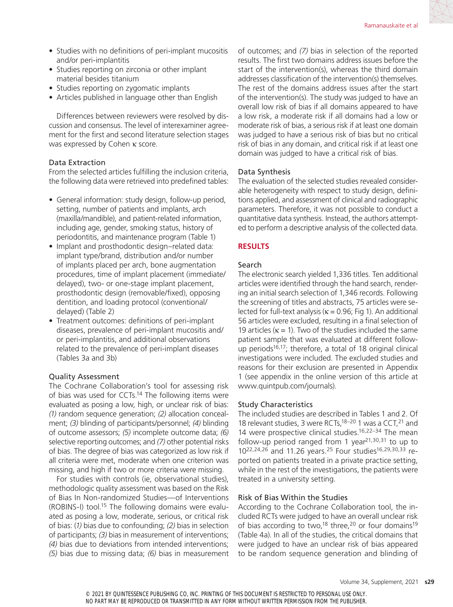- Studies with no definitions of peri-implant mucositis and/or peri-implantitis
- Studies reporting on zirconia or other implant material besides titanium
- Studies reporting on zygomatic implants
- Articles published in language other than English

Differences between reviewers were resolved by discussion and consensus. The level of interexaminer agreement for the first and second literature selection stages was expressed by Cohen κ score.

# Data Extraction

From the selected articles fulfilling the inclusion criteria, the following data were retrieved into predefined tables:

- General information: study design, follow-up period, setting, number of patients and implants, arch (maxilla/mandible), and patient-related information, including age, gender, smoking status, history of periodontitis, and maintenance program (Table 1)
- Implant and prosthodontic design–related data: implant type/brand, distribution and/or number of implants placed per arch, bone augmentation procedures, time of implant placement (immediate/ delayed), two- or one-stage implant placement, prosthodontic design (removable/fixed), opposing dentition, and loading protocol (conventional/ delayed) (Table 2)
- Treatment outcomes: definitions of peri-implant diseases, prevalence of peri-implant mucositis and/ or peri-implantitis, and additional observations related to the prevalence of peri-implant diseases (Tables 3a and 3b)

# Quality Assessment

The Cochrane Collaboration's tool for assessing risk of bias was used for CCTs.<sup>14</sup> The following items were evaluated as posing a low, high, or unclear risk of bias: *(1)* random sequence generation; *(2)* allocation concealment; *(3)* blinding of participants/personnel; *(4)* blinding of outcome assessors; *(5)* incomplete outcome data; *(6)* selective reporting outcomes; and *(7)* other potential risks of bias. The degree of bias was categorized as low risk if all criteria were met, moderate when one criterion was missing, and high if two or more criteria were missing.

For studies with controls (ie, observational studies), methodologic quality assessment was based on the Risk of Bias In Non-randomized Studies—of Interventions (ROBINS-I) tool.15 The following domains were evaluated as posing a low, moderate, serious, or critical risk of bias: (*1)* bias due to confounding; *(2)* bias in selection of participants; *(3)* bias in measurement of interventions; *(4)* bias due to deviations from intended interventions; *(5)* bias due to missing data; *(6)* bias in measurement of outcomes; and *(7)* bias in selection of the reported results. The first two domains address issues before the start of the intervention(s), whereas the third domain addresses classification of the intervention(s) themselves. The rest of the domains address issues after the start of the intervention(s). The study was judged to have an overall low risk of bias if all domains appeared to have a low risk, a moderate risk if all domains had a low or moderate risk of bias, a serious risk if at least one domain was judged to have a serious risk of bias but no critical risk of bias in any domain, and critical risk if at least one domain was judged to have a critical risk of bias.

# Data Synthesis

The evaluation of the selected studies revealed considerable heterogeneity with respect to study design, definitions applied, and assessment of clinical and radiographic parameters. Therefore, it was not possible to conduct a quantitative data synthesis. Instead, the authors attempted to perform a descriptive analysis of the collected data.

# **RESULTS**

# Search

The electronic search yielded 1,336 titles. Ten additional articles were identified through the hand search, rendering an initial search selection of 1,346 records. Following the screening of titles and abstracts, 75 articles were selected for full-text analysis ( $\kappa$  = 0.96; Fig 1). An additional 56 articles were excluded, resulting in a final selection of 19 articles ( $\kappa$  = 1). Two of the studies included the same patient sample that was evaluated at different followup periods<sup>16,17</sup>; therefore, a total of 18 original clinical investigations were included. The excluded studies and reasons for their exclusion are presented in Appendix 1 (see appendix in the online version of this article at www.quintpub.com/journals).

# Study Characteristics

The included studies are described in Tables 1 and 2. Of 18 relevant studies, 3 were RCTs,<sup>18-20</sup> 1 was a CCT,<sup>21</sup> and 14 were prospective clinical studies.16,22–34 The mean follow-up period ranged from 1 year<sup>21,30,31</sup> to up to 1022,24,26 and 11.26 years.25 Four studies16,29,30,33 reported on patients treated in a private practice setting, while in the rest of the investigations, the patients were treated in a university setting.

# Risk of Bias Within the Studies

According to the Cochrane Collaboration tool, the included RCTs were judged to have an overall unclear risk of bias according to two,<sup>18</sup> three,<sup>20</sup> or four domains<sup>19</sup> (Table 4a). In all of the studies, the critical domains that were judged to have an unclear risk of bias appeared to be random sequence generation and blinding of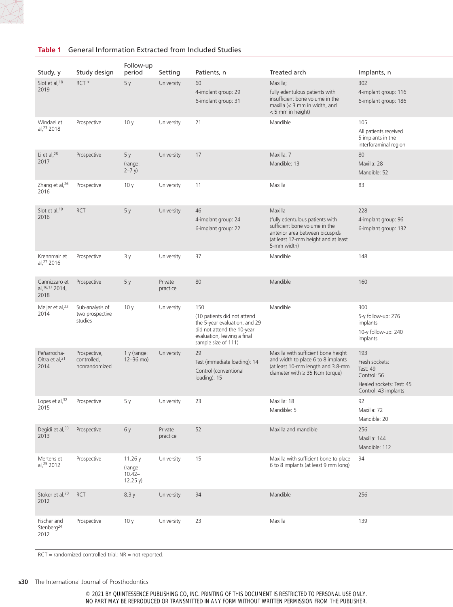

| <b>Table 1</b> General Information Extracted from Included Studies |
|--------------------------------------------------------------------|
|                                                                    |

| Study, y                                              | Study design                                  | Follow-up<br>period                        | Setting             | Patients, n                                                                                                                                             | Treated arch                                                                                                                                                         | Implants, n                                                                                          |
|-------------------------------------------------------|-----------------------------------------------|--------------------------------------------|---------------------|---------------------------------------------------------------------------------------------------------------------------------------------------------|----------------------------------------------------------------------------------------------------------------------------------------------------------------------|------------------------------------------------------------------------------------------------------|
| Slot et al, 18                                        | RCT*                                          | 5y                                         | University          | 60                                                                                                                                                      | Maxilla;                                                                                                                                                             | 302                                                                                                  |
| 2019                                                  |                                               |                                            |                     | 4-implant group: 29<br>6-implant group: 31                                                                                                              | fully edentulous patients with<br>insufficient bone volume in the<br>maxilla $(<$ 3 mm in width, and<br>< 5 mm in height)                                            | 4-implant group: 116<br>6-implant group: 186                                                         |
| Windael et<br>al, 23 2018                             | Prospective                                   | 10y                                        | University          | 21                                                                                                                                                      | Mandible                                                                                                                                                             | 105<br>All patients received<br>5 implants in the<br>interforaminal region                           |
| Li et al, <sup>28</sup><br>2017                       | Prospective                                   | 5y<br>(range:<br>$2 - 7 y$                 | University          | 17                                                                                                                                                      | Maxilla: 7<br>Mandible: 13                                                                                                                                           | 80<br>Maxilla: 28<br>Mandible: 52                                                                    |
| Zhang et al, 26<br>2016                               | Prospective                                   | 10y                                        | University          | 11                                                                                                                                                      | Maxilla                                                                                                                                                              | 83                                                                                                   |
| Slot et al, 19<br>2016                                | <b>RCT</b>                                    | 5y                                         | University          | 46<br>4-implant group: 24<br>6-implant group: 22                                                                                                        | Maxilla<br>(fully edentulous patients with<br>sufficient bone volume in the<br>anterior area between bicuspids<br>(at least 12-mm height and at least<br>5-mm width) | 228<br>4-implant group: 96<br>6-implant group: 132                                                   |
| Krennmair et<br>al, 27 2016                           | Prospective                                   | 3 y                                        | University          | 37                                                                                                                                                      | Mandible                                                                                                                                                             | 148                                                                                                  |
| Cannizzaro et Prospective<br>al, 16, 17 2014,<br>2018 |                                               | 5y                                         | Private<br>practice | 80                                                                                                                                                      | Mandible                                                                                                                                                             | 160                                                                                                  |
| Meijer et al, <sup>22</sup><br>2014                   | Sub-analysis of<br>two prospective<br>studies | 10 <sub>y</sub>                            | University          | 150<br>(10 patients did not attend<br>the 5-year evaluation, and 29<br>did not attend the 10-year<br>evaluation, leaving a final<br>sample size of 111) | Mandible                                                                                                                                                             | 300<br>5-y follow-up: 276<br>implants<br>10-y follow-up: 240<br>implants                             |
| Peñarrocha-<br>Oltra et al, $^{21}$<br>2014           | Prospective,<br>controlled,<br>nonrandomized  | 1 y (range:<br>$12 - 36$ mo)               | University          | 29<br>Test (immediate loading): 14<br>Control (conventional<br>loading): 15                                                                             | Maxilla with sufficient bone height<br>and width to place 6 to 8 implants<br>(at least 10-mm length and 3.8-mm<br>diameter with $\geq$ 35 Ncm torque)                | 193<br>Fresh sockets:<br>Test: 49<br>Control: 56<br>Healed sockets: Test: 45<br>Control: 43 implants |
| Lopes et al, 32<br>2015                               | Prospective                                   | 5у                                         | University          | 23                                                                                                                                                      | Maxilla: 18<br>Mandible: 5                                                                                                                                           | 92<br>Maxilla: 72<br>Mandible: 20                                                                    |
| Degidi et al, <sup>33</sup> Prospective<br>2013       |                                               | 6 y                                        | Private<br>practice | 52                                                                                                                                                      | Maxilla and mandible                                                                                                                                                 | 256<br>Maxilla: 144<br>Mandible: 112                                                                 |
| Mertens et<br>al, 25 2012                             | Prospective                                   | 11.26 y<br>(range:<br>$10.42-$<br>12.25 y) | University          | 15                                                                                                                                                      | Maxilla with sufficient bone to place 94<br>6 to 8 implants (at least 9 mm long)                                                                                     |                                                                                                      |
| Stoker et al, $^{20}$ RCT<br>2012                     |                                               | 8.3 y                                      | University          | 94                                                                                                                                                      | Mandible                                                                                                                                                             | 256                                                                                                  |
| Fischer and<br>Stenberg <sup>24</sup><br>2012         | Prospective                                   | 10 y                                       | University          | 23                                                                                                                                                      | Maxilla                                                                                                                                                              | 139                                                                                                  |

RCT = randomized controlled trial; NR = not reported.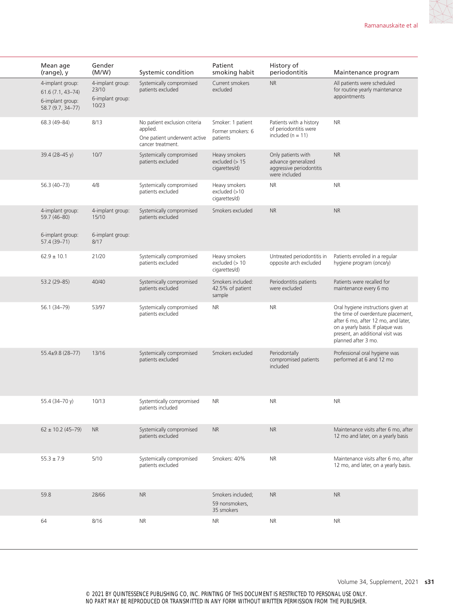| Mean age<br>(range), y                                                            | Gender<br>(M/W)                                        | Systemic condition                                                                                      | Patient<br>smoking habit                          | History of<br>periodontitis                                                            | Maintenance program                                                                                                                                                                                            |
|-----------------------------------------------------------------------------------|--------------------------------------------------------|---------------------------------------------------------------------------------------------------------|---------------------------------------------------|----------------------------------------------------------------------------------------|----------------------------------------------------------------------------------------------------------------------------------------------------------------------------------------------------------------|
| 4-implant group:<br>$61.6(7.1, 43 - 74)$<br>6-implant group:<br>58.7 (9.7, 34-77) | 4-implant group:<br>23/10<br>6-implant group:<br>10/23 | Systemically compromised<br>patients excluded                                                           | Current smokers<br>excluded                       | <b>NR</b>                                                                              | All patients were scheduled<br>for routine yearly maintenance<br>appointments                                                                                                                                  |
| 68.3 (49-84)                                                                      | 8/13                                                   | No patient exclusion criteria<br>applied.<br>One patient underwent active patients<br>cancer treatment. | Smoker: 1 patient<br>Former smokers: 6            | Patients with a history<br>of periodontitis were<br>included $(n = 11)$                | <b>NR</b>                                                                                                                                                                                                      |
| 39.4 (28-45 y)                                                                    | 10/7                                                   | Systemically compromised<br>patients excluded                                                           | Heavy smokers<br>excluded $(>15$<br>cigarettes/d) | Only patients with<br>advance generalized<br>aggressive periodontitis<br>were included | <b>NR</b>                                                                                                                                                                                                      |
| $56.3(40-73)$                                                                     | 4/8                                                    | Systemically compromised<br>patients excluded                                                           | Heavy smokers<br>excluded (>10<br>cigarettes/d)   | <b>NR</b>                                                                              | <b>NR</b>                                                                                                                                                                                                      |
| 4-implant group:<br>59.7 (46-80)                                                  | 4-implant group:<br>15/10                              | Systemically compromised<br>patients excluded                                                           | Smokers excluded                                  | <b>NR</b>                                                                              | <b>NR</b>                                                                                                                                                                                                      |
| 6-implant group:<br>$57.4(39 - 71)$                                               | 6-implant group:<br>8/17                               |                                                                                                         |                                                   |                                                                                        |                                                                                                                                                                                                                |
| $62.9 \pm 10.1$                                                                   | 21/20                                                  | Systemically compromised<br>patients excluded                                                           | Heavy smokers<br>excluded (> 10<br>cigarettes/d)  | Untreated periodontitis in<br>opposite arch excluded                                   | Patients enrolled in a regular<br>hygiene program (once/y)                                                                                                                                                     |
| $53.2(29 - 85)$                                                                   | 40/40                                                  | Systemically compromised<br>patients excluded                                                           | Smokers included:<br>42.5% of patient<br>sample   | Periodontitis patients<br>were excluded                                                | Patients were recalled for<br>maintenance every 6 mo                                                                                                                                                           |
| 56.1 (34-79)                                                                      | 53/97                                                  | Systemically compromised<br>patients excluded                                                           | <b>NR</b>                                         | <b>NR</b>                                                                              | Oral hygiene instructions given at<br>the time of overdenture placement,<br>after 6 mo, after 12 mo, and later,<br>on a yearly basis. If plaque was<br>present, an additional visit was<br>planned after 3 mo. |
| 55.4±9.8 (28-77)                                                                  | 13/16                                                  | Systemically compromised<br>patients excluded                                                           | Smokers excluded                                  | Periodontally<br>compromised patients<br>included                                      | Professional oral hygiene was<br>performed at 6 and 12 mo                                                                                                                                                      |
| 55.4 (34-70 y)                                                                    | 10/13                                                  | Systemtically compromised<br>patients included                                                          | <b>NR</b>                                         | <b>NR</b>                                                                              | <b>NR</b>                                                                                                                                                                                                      |
| $62 \pm 10.2$ (45-79) NR                                                          |                                                        | Systemically compromised<br>patients excluded                                                           | NR                                                | <b>NR</b>                                                                              | Maintenance visits after 6 mo, after<br>12 mo and later, on a yearly basis                                                                                                                                     |
| $55.3 \pm 7.9$                                                                    | 5/10                                                   | Systemically compromised<br>patients excluded                                                           | Smokers: 40%                                      | <b>NR</b>                                                                              | Maintenance visits after 6 mo, after<br>12 mo, and later, on a yearly basis.                                                                                                                                   |
| 59.8                                                                              | 28/66                                                  | <b>NR</b>                                                                                               | Smokers included;<br>59 nonsmokers,<br>35 smokers | <b>NR</b>                                                                              | <b>NR</b>                                                                                                                                                                                                      |
| 64                                                                                | 8/16                                                   | <b>NR</b>                                                                                               | <b>NR</b>                                         | <b>NR</b>                                                                              | <b>NR</b>                                                                                                                                                                                                      |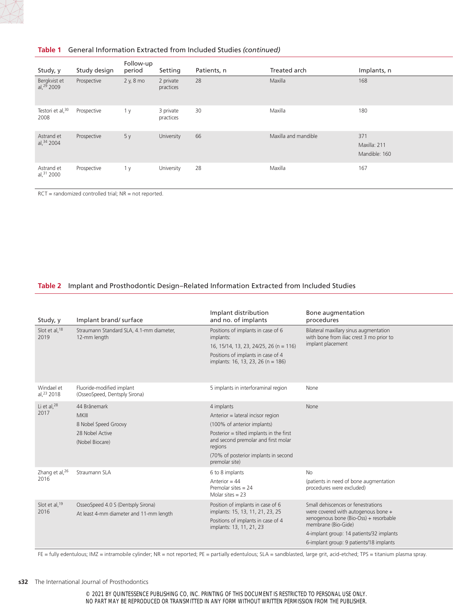

# **Table 1** General Information Extracted from Included Studies *(continued)*

|                                        |              | Follow-up |                        |             |                      |                                      |
|----------------------------------------|--------------|-----------|------------------------|-------------|----------------------|--------------------------------------|
| Study, y                               | Study design | period    | Setting                | Patients, n | Treated arch         | Implants, n                          |
| Bergkvist et<br>al, <sup>29</sup> 2009 | Prospective  | 2 y, 8 mo | 2 private<br>practices | 28          | Maxilla              | 168                                  |
| Testori et al, 30<br>2008              | Prospective  | 1 y       | 3 private<br>practices | 30          | Maxilla              | 180                                  |
| Astrand et<br>al, 34 2004              | Prospective  | 5 y       | University             | 66          | Maxilla and mandible | 371<br>Maxilla: 211<br>Mandible: 160 |
| Astrand et<br>al, 31 2000              | Prospective  | 1 y       | University             | 28          | Maxilla              | 167                                  |

RCT = randomized controlled trial; NR = not reported.

# **Table 2** Implant and Prosthodontic Design–Related Information Extracted from Included Studies

| Study, y                           | Implant brand/surface                                                                      | Implant distribution<br>and no. of implants                                                                                                                                                                                            | Bone augmentation<br>procedures                                                                                                                                                                                                   |
|------------------------------------|--------------------------------------------------------------------------------------------|----------------------------------------------------------------------------------------------------------------------------------------------------------------------------------------------------------------------------------------|-----------------------------------------------------------------------------------------------------------------------------------------------------------------------------------------------------------------------------------|
| Slot et al, 18<br>2019             | Straumann Standard SLA, 4.1-mm diameter,<br>12-mm length                                   | Positions of implants in case of 6<br>implants:<br>16, 15/14, 13, 23, 24/25, 26 (n = 116)<br>Positions of implants in case of 4<br>implants: 16, 13, 23, 26 (n = 186)                                                                  | Bilateral maxillary sinus augmentation<br>with bone from iliac crest 3 mo prior to<br>implant placement                                                                                                                           |
| Windael et<br>al, 23 2018          | Fluoride-modified implant<br>(OsseoSpeed, Dentsply Sirona)                                 | 5 implants in interforaminal region                                                                                                                                                                                                    | None                                                                                                                                                                                                                              |
| Li et al, <sup>28</sup><br>2017    | 44 Brånemark<br><b>MKIII</b><br>8 Nobel Speed Groovy<br>28 Nobel Active<br>(Nobel Biocare) | 4 implants<br>Anterior = lateral incisor region<br>(100% of anterior implants)<br>Posterior = tilted implants in the first<br>and second premolar and first molar<br>regions<br>(70% of posterior implants in second<br>premolar site) | None                                                                                                                                                                                                                              |
| Zhang et al, <sup>26</sup><br>2016 | Straumann SLA                                                                              | 6 to 8 implants<br>Anterior = $44$<br>Premolar sites $= 24$<br>Molar sites $= 23$                                                                                                                                                      | <b>No</b><br>(patients in need of bone augmentation<br>procedures were excluded)                                                                                                                                                  |
| Slot et al, 19<br>2016             | OsseoSpeed 4.0 S (Dentsply Sirona)<br>At least 4-mm diameter and 11-mm length              | Position of implants in case of 6<br>implants: 15, 13, 11, 21, 23, 25<br>Positions of implants in case of 4<br>implants: 13, 11, 21, 23                                                                                                | Small dehiscences or fenestrations<br>were covered with autogenous bone +<br>xenogenous bone (Bio-Oss) + resorbable<br>membrane (Bio-Gide)<br>4-implant group: 14 patients/32 implants<br>6-implant group: 9 patients/18 implants |

FE = fully edentulous; IMZ = intramobile cylinder; NR = not reported; PE = partially edentulous; SLA = sandblasted, large grit, acid-etched; TPS = titanium plasma spray.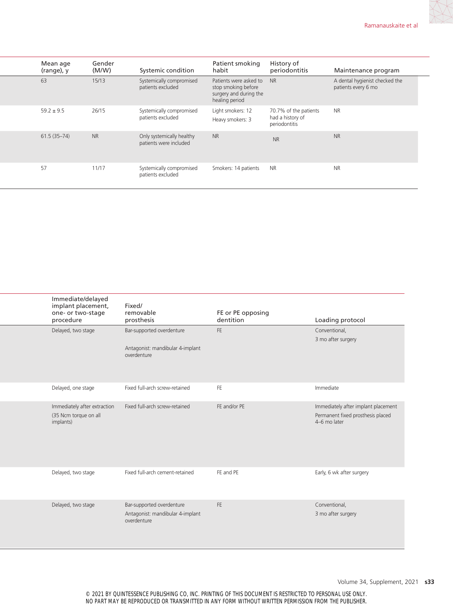| Mean age<br>(range), y | Gender<br>(M/W) | Systemic condition                                  | Patient smoking<br>habit                                                                     | History of<br>periodontitis                                | Maintenance program                                   |
|------------------------|-----------------|-----------------------------------------------------|----------------------------------------------------------------------------------------------|------------------------------------------------------------|-------------------------------------------------------|
| 63                     | 15/13           | Systemically compromised<br>patients excluded       | Patients were asked to NR<br>stop smoking before<br>surgery and during the<br>healing period |                                                            | A dental hygienist checked the<br>patients every 6 mo |
| $59.2 \pm 9.5$         | 26/15           | Systemically compromised<br>patients excluded       | Light smokers: 12<br>Heavy smokers: 3                                                        | 70.7% of the patients<br>had a history of<br>periodontitis | <b>NR</b>                                             |
| $61.5(35-74)$          | <b>NR</b>       | Only systemically healthy<br>patients were included | <b>NR</b>                                                                                    | <b>NR</b>                                                  | <b>NR</b>                                             |
| 57                     | 11/17           | Systemically compromised<br>patients excluded       | Smokers: 14 patients NR                                                                      |                                                            | <b>NR</b>                                             |

| Immediate/delayed<br>implant placement,<br>one- or two-stage<br>procedure | Fixed/<br>removable<br>prosthesis                                            | FE or PE opposing<br>dentition | Loading protocol                                                                         |
|---------------------------------------------------------------------------|------------------------------------------------------------------------------|--------------------------------|------------------------------------------------------------------------------------------|
| Delayed, two stage                                                        | Bar-supported overdenture<br>Antagonist: mandibular 4-implant<br>overdenture | FE                             | Conventional,<br>3 mo after surgery                                                      |
| Delayed, one stage                                                        | Fixed full-arch screw-retained                                               | FE                             | Immediate                                                                                |
| Immediately after extraction<br>(35 Ncm torque on all<br>implants)        | Fixed full-arch screw-retained                                               | FE and/or PE                   | Immediately after implant placement<br>Permanent fixed prosthesis placed<br>4-6 mo later |
| Delayed, two stage                                                        | Fixed full-arch cement-retained                                              | FE and PE                      | Early, 6 wk after surgery                                                                |
| Delayed, two stage                                                        | Bar-supported overdenture<br>Antagonist: mandibular 4-implant<br>overdenture | FE.                            | Conventional,<br>3 mo after surgery                                                      |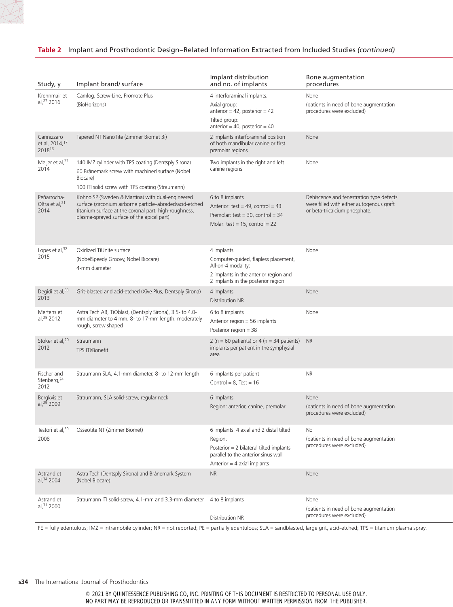| Study, y                                                       | Implant brand/surface                                                                                                                                                                                               | Implant distribution<br>and no. of implants                                                                                                                           | Bone augmentation<br>procedures                                                                                       |
|----------------------------------------------------------------|---------------------------------------------------------------------------------------------------------------------------------------------------------------------------------------------------------------------|-----------------------------------------------------------------------------------------------------------------------------------------------------------------------|-----------------------------------------------------------------------------------------------------------------------|
| Krennmair et<br>al, 27 2016                                    | Camlog, Screw-Line, Promote Plus                                                                                                                                                                                    | 4 interforaminal implants.                                                                                                                                            | None                                                                                                                  |
|                                                                | (BioHorizons)                                                                                                                                                                                                       | Axial group:<br>anterior = $42$ , posterior = $42$<br>Tilted group:<br>anterior = 40, posterior = $40$                                                                | (patients in need of bone augmentation<br>procedures were excluded)                                                   |
| Cannizzaro<br>et al, 2014, <sup>17</sup><br>2018 <sup>16</sup> | Tapered NT NanoTite (Zimmer Biomet 3i)                                                                                                                                                                              | 2 implants interforaminal position<br>of both mandibular canine or first<br>premolar regions                                                                          | None                                                                                                                  |
| Meijer et al, <sup>22</sup><br>2014                            | 140 IMZ cylinder with TPS coating (Dentsply Sirona)<br>60 Brånemark screw with machined surface (Nobel<br>Biocare)                                                                                                  | Two implants in the right and left<br>canine regions                                                                                                                  | None                                                                                                                  |
|                                                                | 100 ITI solid screw with TPS coating (Straumann)                                                                                                                                                                    |                                                                                                                                                                       |                                                                                                                       |
| Peñarrocha-<br>Oltra et al, $21$<br>2014                       | Kohno SP (Sweden & Martina) with dual-engineered<br>surface (zirconium airborne particle-abraded/acid-etched<br>titanium surface at the coronal part, high-roughness,<br>plasma-sprayed surface of the apical part) | 6 to 8 implants<br>Anterior: test = $49$ , control = $43$<br>Premolar: test = $30$ , control = $34$<br>Molar: test = $15$ , control = $22$                            | Dehiscence and fenestration type defects<br>were filled with either autogenous graft<br>or beta-tricalcium phosphate. |
| Lopes et al, $32$<br>2015                                      | Oxidized TiUnite surface<br>(NobelSpeedy Groovy, Nobel Biocare)<br>4-mm diameter                                                                                                                                    | 4 implants<br>Computer-guided, flapless placement,<br>All-on-4 modality:<br>2 implants in the anterior region and<br>2 implants in the posterior region               | None                                                                                                                  |
| Degidi et al, 33<br>2013                                       | Grit-blasted and acid-etched (Xive Plus, Dentsply Sirona)                                                                                                                                                           | 4 implants<br>Distribution NR                                                                                                                                         | None                                                                                                                  |
| Mertens et<br>al, 25 2012                                      | Astra Tech AB, TiOblast, (Dentsply Sirona), 3.5- to 4.0-<br>mm diameter to 4 mm, 8- to 17-mm length, moderately<br>rough, screw shaped                                                                              | 6 to 8 implants<br>Anterior region = 56 implants<br>Posterior region = 38                                                                                             | None                                                                                                                  |
| Stoker et al, <sup>20</sup><br>2012                            | Straumann<br>TPS ITI/Bonefit                                                                                                                                                                                        | 2 ( $n = 60$ patients) or 4 ( $n = 34$ patients) NR<br>implants per patient in the symphysial<br>area                                                                 |                                                                                                                       |
| Fischer and<br>Stenberg, 24<br>2012                            | Straumann SLA, 4.1-mm diameter, 8- to 12-mm length                                                                                                                                                                  | 6 implants per patient<br>Control = $8.$ Test = 16                                                                                                                    | <b>NR</b>                                                                                                             |
| Bergkvis et<br>al, 29 2009                                     | Straumann, SLA solid-screw, regular neck                                                                                                                                                                            | 6 implants<br>Region: anterior, canine, premolar                                                                                                                      | None<br>(patients in need of bone augmentation<br>procedures were excluded)                                           |
| 2008                                                           | Testori et al, <sup>30</sup> Osseotite NT (Zimmer Biomet)                                                                                                                                                           | 6 implants: 4 axial and 2 distal tilted<br>Region:<br>Posterior = 2 bilateral tilted implants<br>parallel to the anterior sinus wall<br>Anterior = $4$ axial implants | No<br>(patients in need of bone augmentation<br>procedures were excluded)                                             |
| Astrand et<br>al, $34$ 2004                                    | Astra Tech (Dentsply Sirona) and Brånemark System<br>(Nobel Biocare)                                                                                                                                                | <b>NR</b>                                                                                                                                                             | None                                                                                                                  |
| Astrand et<br>al, 31 2000                                      | Straumann ITI solid-screw, 4.1-mm and 3.3-mm diameter 4 to 8 implants                                                                                                                                               | Distribution NR                                                                                                                                                       | None<br>(patients in need of bone augmentation<br>procedures were excluded)                                           |

# **Table 2** Implant and Prosthodontic Design–Related Information Extracted from Included Studies *(continued)*

FE = fully edentulous; IMZ = intramobile cylinder; NR = not reported; PE = partially edentulous; SLA = sandblasted, large grit, acid-etched; TPS = titanium plasma spray.

#### **s34** The International Journal of Prosthodontics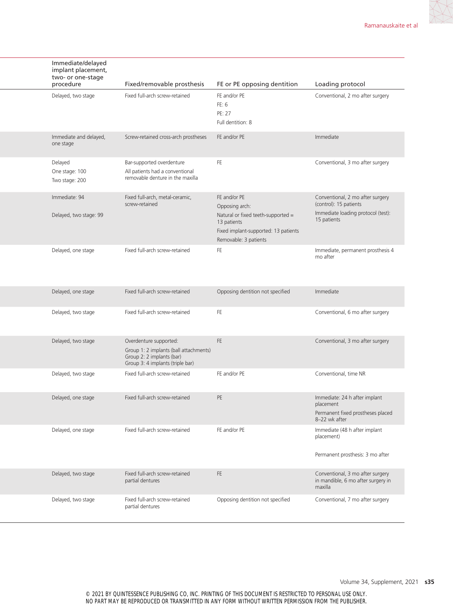| Immediate/delayed<br>implant placement,<br>two- or one-stage | Fixed/removable prosthesis                                          | FE or PE opposing dentition                       | Loading protocol                                   |
|--------------------------------------------------------------|---------------------------------------------------------------------|---------------------------------------------------|----------------------------------------------------|
| procedure                                                    |                                                                     |                                                   |                                                    |
| Delayed, two stage                                           | Fixed full-arch screw-retained                                      | FE and/or PE                                      | Conventional, 2 mo after surgery                   |
|                                                              |                                                                     | FE: 6<br>PE: 27                                   |                                                    |
|                                                              |                                                                     | Full dentition: 8                                 |                                                    |
|                                                              |                                                                     |                                                   |                                                    |
| Immediate and delayed,<br>one stage                          | Screw-retained cross-arch prostheses                                | FE and/or PE                                      | Immediate                                          |
| Delayed                                                      | Bar-supported overdenture                                           | <b>FE</b>                                         | Conventional, 3 mo after surgery                   |
| One stage: 100                                               | All patients had a conventional<br>removable denture in the maxilla |                                                   |                                                    |
| Two stage: 200                                               |                                                                     |                                                   |                                                    |
| Immediate: 94                                                | Fixed full-arch, metal-ceramic,                                     | FE and/or PE                                      | Conventional, 2 mo after surgery                   |
|                                                              | screw-retained                                                      | Opposing arch:                                    | (control): 15 patients                             |
| Delayed, two stage: 99                                       |                                                                     | Natural or fixed teeth-supported =<br>13 patients | Immediate loading protocol (test):<br>15 patients  |
|                                                              |                                                                     | Fixed implant-supported: 13 patients              |                                                    |
|                                                              |                                                                     | Removable: 3 patients                             |                                                    |
| Delayed, one stage                                           | Fixed full-arch screw-retained                                      | FE.                                               | Immediate, permanent prosthesis 4                  |
|                                                              |                                                                     |                                                   | mo after                                           |
|                                                              |                                                                     |                                                   |                                                    |
|                                                              |                                                                     |                                                   |                                                    |
| Delayed, one stage                                           | Fixed full-arch screw-retained                                      | Opposing dentition not specified                  | Immediate                                          |
| Delayed, two stage                                           | Fixed full-arch screw-retained                                      | FE                                                | Conventional, 6 mo after surgery                   |
|                                                              |                                                                     |                                                   |                                                    |
| Delayed, two stage                                           | Overdenture supported:                                              | FE.                                               | Conventional, 3 mo after surgery                   |
|                                                              | Group 1: 2 implants (ball attachments)                              |                                                   |                                                    |
|                                                              | Group 2: 2 implants (bar)<br>Group 3: 4 implants (triple bar)       |                                                   |                                                    |
| Delayed, two stage                                           | Fixed full-arch screw-retained                                      | FE and/or PE                                      | Conventional, time NR                              |
|                                                              |                                                                     |                                                   |                                                    |
| Delayed, one stage                                           | Fixed full-arch screw-retained                                      | PE                                                | Immediate: 24 h after implant                      |
|                                                              |                                                                     |                                                   | placement                                          |
|                                                              |                                                                     |                                                   | Permanent fixed prostheses placed<br>8-22 wk after |
| Delayed, one stage                                           | Fixed full-arch screw-retained                                      | FE and/or PE                                      | Immediate (48 h after implant                      |
|                                                              |                                                                     |                                                   | placement)                                         |
|                                                              |                                                                     |                                                   | Permanent prosthesis: 3 mo after                   |
|                                                              |                                                                     |                                                   |                                                    |
| Delayed, two stage                                           | Fixed full-arch screw-retained                                      | FE                                                | Conventional, 3 mo after surgery                   |
|                                                              | partial dentures                                                    |                                                   | in mandible, 6 mo after surgery in<br>maxilla      |
|                                                              | Fixed full-arch screw-retained                                      | Opposing dentition not specified                  | Conventional, 7 mo after surgery                   |
| Delayed, two stage                                           | partial dentures                                                    |                                                   |                                                    |
|                                                              |                                                                     |                                                   |                                                    |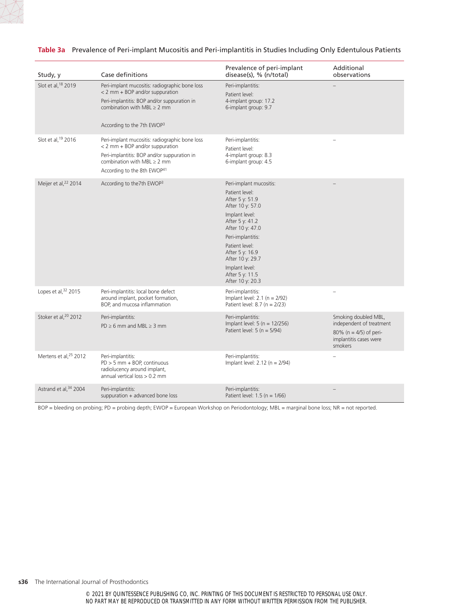|                                   |                                                                                                                                                                                                                 | Prevalence of peri-implant                                                                                                                                                                                                                                                       | Additional                                                                                                          |
|-----------------------------------|-----------------------------------------------------------------------------------------------------------------------------------------------------------------------------------------------------------------|----------------------------------------------------------------------------------------------------------------------------------------------------------------------------------------------------------------------------------------------------------------------------------|---------------------------------------------------------------------------------------------------------------------|
| Study, y                          | Case definitions                                                                                                                                                                                                | disease(s), % (n/total)                                                                                                                                                                                                                                                          | observations                                                                                                        |
| Slot et al, 18 2019               | Peri-implant mucositis: radiographic bone loss<br>< 2 mm + BOP and/or suppuration<br>Peri-implantitis: BOP and/or suppuration in<br>combination with MBL $\geq 2$ mm<br>According to the 7th EWOP3              | Peri-implantitis:<br>Patient level:<br>4-implant group: 17.2<br>6-implant group: 9.7                                                                                                                                                                                             |                                                                                                                     |
| Slot et al, 19 2016               | Peri-implant mucositis: radiographic bone loss<br>< 2 mm + BOP and/or suppuration<br>Peri-implantitis: BOP and/or suppuration in<br>combination with MBL $\geq 2$ mm<br>According to the 8th EWOP <sup>41</sup> | Peri-implantitis:<br>Patient level:<br>4-implant group: 8.3<br>6-implant group: 4.5                                                                                                                                                                                              |                                                                                                                     |
| Meijer et al, <sup>22</sup> 2014  | According to the7th EWOP3                                                                                                                                                                                       | Peri-implant mucositis:<br>Patient level:<br>After 5 y: 51.9<br>After 10 y: 57.0<br>Implant level:<br>After 5 y: 41.2<br>After 10 y: 47.0<br>Peri-implantitis:<br>Patient level:<br>After 5 y: 16.9<br>After 10 y: 29.7<br>Implant level:<br>After 5 y: 11.5<br>After 10 y: 20.3 |                                                                                                                     |
| Lopes et al, 32 2015              | Peri-implantitis: local bone defect<br>around implant, pocket formation,<br>BOP, and mucosa inflammation                                                                                                        | Peri-implantitis:<br>Implant level: $2.1$ (n = $2/92$ )<br>Patient level: $8.7$ (n = 2/23)                                                                                                                                                                                       |                                                                                                                     |
| Stoker et al, <sup>20</sup> 2012  | Peri-implantitis:<br>$PD \ge 6$ mm and MBL $\ge 3$ mm                                                                                                                                                           | Peri-implantitis:<br>Implant level: $5(n = 12/256)$<br>Patient level: $5(n = 5/94)$                                                                                                                                                                                              | Smoking doubled MBL,<br>independent of treatment<br>80% ( $n = 4/5$ ) of peri-<br>implantitis cases were<br>smokers |
| Mertens et al, <sup>25</sup> 2012 | Peri-implantitis:<br>$PD > 5$ mm + BOP, continuous<br>radiolucency around implant,<br>annual vertical loss $> 0.2$ mm                                                                                           | Peri-implantitis:<br>Implant level: $2.12$ (n = 2/94)                                                                                                                                                                                                                            |                                                                                                                     |
| Astrand et al, 34 2004            | Peri-implantitis:<br>suppuration + advanced bone loss                                                                                                                                                           | Peri-implantitis:<br>Patient level: $1.5$ (n = $1/66$ )                                                                                                                                                                                                                          |                                                                                                                     |

# **Table 3a** Prevalence of Peri-implant Mucositis and Peri-implantitis in Studies Including Only Edentulous Patients

BOP = bleeding on probing; PD = probing depth; EWOP = European Workshop on Periodontology; MBL = marginal bone loss; NR = not reported.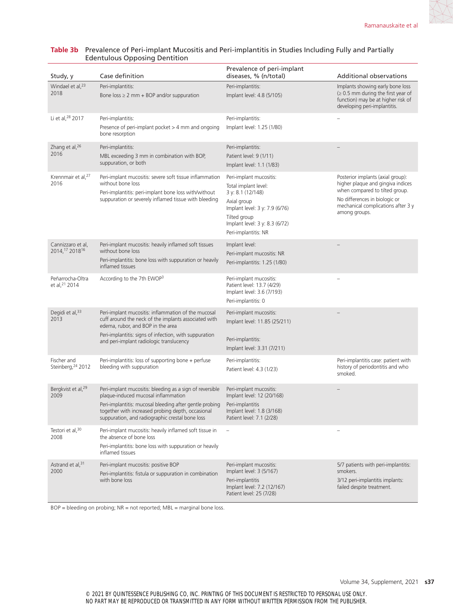| Study, y                               | Case definition                                                                                                                                                                                                                                                    | Prevalence of peri-implant<br>diseases, % (n/total)                                                                                                                                             | <b>Additional observations</b>                                                                                                                                                                   |
|----------------------------------------|--------------------------------------------------------------------------------------------------------------------------------------------------------------------------------------------------------------------------------------------------------------------|-------------------------------------------------------------------------------------------------------------------------------------------------------------------------------------------------|--------------------------------------------------------------------------------------------------------------------------------------------------------------------------------------------------|
| Windael et al, <sup>23</sup><br>2018   | Peri-implantitis:<br>Bone $loss \geq 2$ mm + BOP and/or suppuration                                                                                                                                                                                                | Peri-implantitis:<br>Implant level: 4.8 (5/105)                                                                                                                                                 | Implants showing early bone loss<br>$\geq 0.5$ mm during the first year of<br>function) may be at higher risk of<br>developing peri-implantitis.                                                 |
| Li et al, <sup>28</sup> 2017           | Peri-implantitis:<br>Presence of peri-implant pocket $>$ 4 mm and ongoing<br>bone resorption                                                                                                                                                                       | Peri-implantitis:<br>Implant level: 1.25 (1/80)                                                                                                                                                 |                                                                                                                                                                                                  |
| Zhang et al, <sup>26</sup><br>2016     | Peri-implantitis:<br>MBL exceeding 3 mm in combination with BOP,<br>suppuration, or both                                                                                                                                                                           | Peri-implantitis:<br>Patient level: 9 (1/11)<br>Implant level: 1.1 (1/83)                                                                                                                       |                                                                                                                                                                                                  |
| Krennmair et al, <sup>27</sup><br>2016 | Peri-implant mucositis: severe soft tissue inflammation<br>without bone loss<br>Peri-implantitis: peri-implant bone loss with/without<br>suppuration or severely inflamed tissue with bleeding                                                                     | Peri-implant mucositis:<br>Total implant level:<br>3 y: 8.1 (12/148)<br>Axial group<br>Implant level: 3 y: 7.9 (6/76)<br>Tilted aroup<br>Implant level: 3 y: 8.3 (6/72)<br>Peri-implantitis: NR | Posterior implants (axial group):<br>higher plaque and gingiva indices<br>when compared to tilted group.<br>No differences in biologic or<br>mechanical complications after 3 y<br>among groups. |
| Cannizzaro et al,<br>2014, 17 201816   | Peri-implant mucositis: heavily inflamed soft tissues<br>without bone loss<br>Peri-implantitis: bone loss with suppuration or heavily<br>inflamed tissues                                                                                                          | Implant level:<br>Peri-implant mucositis: NR<br>Peri-implantitis: 1.25 (1/80)                                                                                                                   |                                                                                                                                                                                                  |
| Peñarrocha-Oltra<br>et al, 21 2014     | According to the 7th EWOP3                                                                                                                                                                                                                                         | Peri-implant mucositis:<br>Patient level: 13.7 (4/29)<br>Implant level: 3.6 (7/193)<br>Peri-implantitis: 0                                                                                      |                                                                                                                                                                                                  |
| Degidi et al, 33<br>2013               | Peri-implant mucositis: inflammation of the mucosal<br>cuff around the neck of the implants associated with<br>edema, rubor, and BOP in the area<br>Peri-implantitis: signs of infection, with suppuration<br>and peri-implant radiologic translucency             | Peri-implant mucositis:<br>Implant level: 11.85 (25/211)<br>Peri-implantitis:<br>Implant level: 3.31 (7/211)                                                                                    |                                                                                                                                                                                                  |
| Fischer and<br>Steinberg, 24 2012      | Peri-implantitis: loss of supporting bone + perfuse<br>bleeding with suppuration                                                                                                                                                                                   | Peri-implantitis:<br>Patient level: 4.3 (1/23)                                                                                                                                                  | Peri-implantitis case: patient with<br>history of periodontitis and who<br>smoked.                                                                                                               |
| Bergkvist et al, <sup>29</sup><br>2009 | Peri-implant mucositis: bleeding as a sign of reversible<br>plaque-induced mucosal inflammation<br>Peri-implantitis: mucosal bleeding after gentle probing<br>together with increased probing depth, occasional<br>suppuration, and radiographic crestal bone loss | Peri-implant mucositis:<br>Implant level: 12 (20/168)<br>Peri-implantitis<br>Implant level: 1.8 (3/168)<br>Patient level: 7.1 (2/28)                                                            |                                                                                                                                                                                                  |
| Testori et al, 30<br>2008              | Peri-implant mucositis: heavily inflamed soft tissue in<br>the absence of bone loss<br>Peri-implantitis: bone loss with suppuration or heavily<br>inflamed tissues                                                                                                 |                                                                                                                                                                                                 |                                                                                                                                                                                                  |
| Astrand et al, <sup>31</sup><br>2000   | Peri-implant mucositis: positive BOP<br>Peri-implantitis: fistula or suppuration in combination<br>with bone loss                                                                                                                                                  | Peri-implant mucositis:<br>Implant level: 3 (5/167)<br>Peri-implantitis<br>Implant level: 7.2 (12/167)<br>Patient level: 25 (7/28)                                                              | 5/7 patients with peri-implantitis:<br>smokers.<br>3/12 peri-implantitis implants:<br>failed despite treatment.                                                                                  |

### **Table 3b** Prevalence of Peri-implant Mucositis and Peri-implantitis in Studies Including Fully and Partially Edentulous Opposing Dentition

 $BOP =$  bleeding on probing;  $NR =$  not reported;  $MBL =$  marginal bone loss.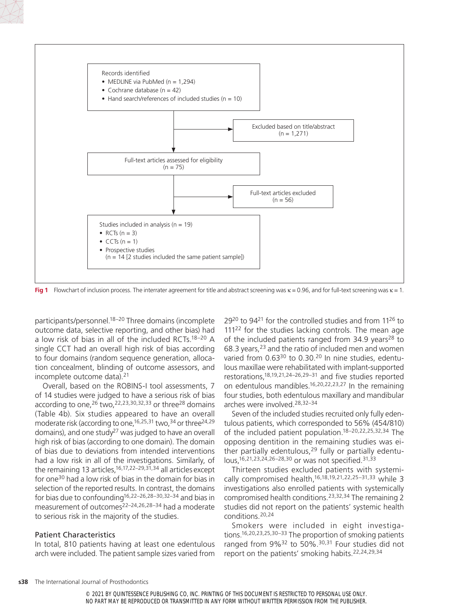

**Fig 1** Flowchart of inclusion process. The interrater agreement for title and abstract screening was κ = 0.96, and for full-text screening was κ = 1.

participants/personnel.18–20 Three domains (incomplete outcome data, selective reporting, and other bias) had a low risk of bias in all of the included RCTs.18–20 A single CCT had an overall high risk of bias according to four domains (random sequence generation, allocation concealment, blinding of outcome assessors, and incomplete outcome data).<sup>21</sup>

Overall, based on the ROBINS-I tool assessments, 7 of 14 studies were judged to have a serious risk of bias according to one, 26 two, 22, 23, 30, 32, 33 or three<sup>28</sup> domains (Table 4b). Six studies appeared to have an overall moderate risk (according to one,  $16,25,31$  two,  $34$  or three  $24,29$ domains), and one study<sup>27</sup> was judged to have an overall high risk of bias (according to one domain). The domain of bias due to deviations from intended interventions had a low risk in all of the investigations. Similarly, of the remaining 13 articles,16,17,22–29,31,34 all articles except for one30 had a low risk of bias in the domain for bias in selection of the reported results. In contrast, the domains for bias due to confounding16,22–26,28–30,32–34 and bias in measurement of outcomes22–24,26,28–34 had a moderate to serious risk in the majority of the studies.

### Patient Characteristics

In total, 810 patients having at least one edentulous arch were included. The patient sample sizes varied from

29<sup>20</sup> to 94<sup>21</sup> for the controlled studies and from 11<sup>26</sup> to 111<sup>22</sup> for the studies lacking controls. The mean age of the included patients ranged from  $34.9$  years<sup>28</sup> to 68.3 years,23 and the ratio of included men and women varied from 0.63<sup>30</sup> to 0.30.<sup>20</sup> In nine studies, edentulous maxillae were rehabilitated with implant-supported restorations,18,19,21,24–26,29–31 and five studies reported on edentulous mandibles.16,20,22,23,27 In the remaining four studies, both edentulous maxillary and mandibular arches were involved.28,32–34

Seven of the included studies recruited only fully edentulous patients, which corresponded to 56% (454/810) of the included patient population.18–20,22,25,32,34 The opposing dentition in the remaining studies was either partially edentulous, $29$  fully or partially edentulous,16,21,23,24,26–28,30 or was not specified.31,33

Thirteen studies excluded patients with systemically compromised health,<sup>16,18,19,21,22,25–31,33</sup> while 3 investigations also enrolled patients with systemically compromised health conditions.23,32,34 The remaining 2 studies did not report on the patients' systemic health conditions.20,24

Smokers were included in eight investigations.16,20,23,25,30–33 The proportion of smoking patients ranged from 9%<sup>32</sup> to 50%.<sup>30,31</sup> Four studies did not report on the patients' smoking habits.22,24,29,34

<sup>© 2021</sup> BY QUINTESSENCE PUBLISHING CO, INC. PRINTING OF THIS DOCUMENT IS RESTRICTED TO PERSONAL USE ONLY. NO PART MAY BE REPRODUCED OR TRANSMITTED IN ANY FORM WITHOUT WRITTEN PERMISSION FROM THE PUBLISHER.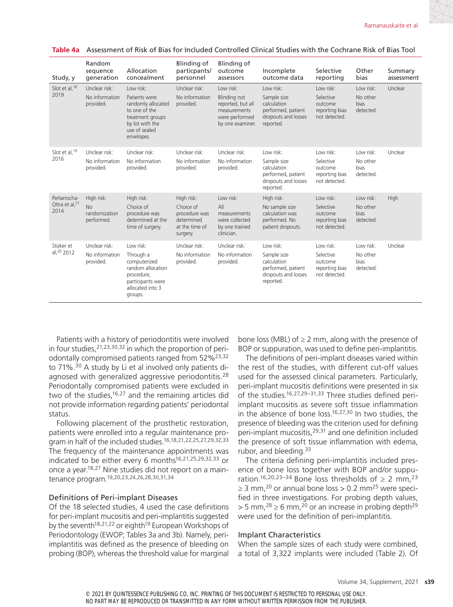| Study, y                                          | Random<br>sequence<br>generation                       | Allocation<br>concealment                                                                                                               | Blinding of<br>particpants/<br>personnel                                             | Blinding of<br>outcome<br>assessors                                                                         | Incomplete<br>outcome data                                                                        | Selective<br>reporting                                               | Other<br>bias                                     | Summary<br>assessment |
|---------------------------------------------------|--------------------------------------------------------|-----------------------------------------------------------------------------------------------------------------------------------------|--------------------------------------------------------------------------------------|-------------------------------------------------------------------------------------------------------------|---------------------------------------------------------------------------------------------------|----------------------------------------------------------------------|---------------------------------------------------|-----------------------|
| Slot et al, 18<br>2019                            | Unclear risk:<br>No information<br>provided.           | Low risk:<br>Patients were<br>randomly allocated<br>to one of the<br>treatment groups<br>by lot with the<br>use of sealed<br>envelopes. | Unclear risk:<br>No information<br>provided.                                         | Low risk:<br><b>Blinding not</b><br>reported, but all<br>measurements<br>were performed<br>by one examiner. | Low risk:<br>Sample size<br>calculation<br>performed, patient<br>dropouts and losses<br>reported. | Low risk:<br>Selective<br>outcome<br>reporting bias<br>not detected. | Low risk:<br>No other<br><b>bias</b><br>detected. | Unclear               |
| Slot et al, 19<br>2016                            | Unclear risk:<br>No information<br>provided.           | Unclear risk:<br>No information<br>provided.                                                                                            | Unclear risk:<br>No information<br>provided.                                         | Unclear risk:<br>No information<br>provided.                                                                | Low risk:<br>Sample size<br>calculation<br>performed, patient<br>dropouts and losses<br>reported. | Low risk:<br>Selective<br>outcome<br>reporting bias<br>not detected. | Low risk:<br>No other<br><b>bias</b><br>detected. | Unclear               |
| Peñarrocha-<br>Oltra et al, <sup>21</sup><br>2014 | High risk:<br><b>No</b><br>randomization<br>performed. | High risk:<br>Choice of<br>procedure was<br>determined at the<br>time of surgery.                                                       | High risk:<br>Choice of<br>procedure was<br>determined<br>at the time of<br>surgery. | Low risk:<br>All<br>measurements<br>were collected<br>by one trained<br>clinician.                          | High risk:<br>No sample size<br>calculation was<br>performed. No<br>patient dropouts.             | Low risk:<br>Selective<br>outcome<br>reporting bias<br>not detected. | Low risk:<br>No other<br><b>bias</b><br>detected. | High                  |
| Stoker et<br>al, 20 2012                          | Unclear risk:<br>No information<br>provided.           | Low risk:<br>Through a<br>computerized<br>random allocation<br>procedure,<br>participants were<br>allocated into 3<br>groups.           | Unclear risk:<br>No information<br>provided.                                         | Unclear risk:<br>No information<br>provided.                                                                | Low risk:<br>Sample size<br>calculation<br>performed, patient<br>dropouts and losses<br>reported. | Low risk:<br>Selective<br>outcome<br>reporting bias<br>not detected. | Low risk:<br>No other<br>bias<br>detected.        | Unclear               |

**Table 4a** Assessment of Risk of Bias for Included Controlled Clinical Studies with the Cochrane Risk of Bias Tool

Patients with a history of periodontitis were involved in four studies,21,23,30,32 in which the proportion of periodontally compromised patients ranged from 52%23,32 to 71%.30 A study by Li et al involved only patients diagnosed with generalized aggressive periodontitis.28 Periodontally compromised patients were excluded in two of the studies,<sup>16,27</sup> and the remaining articles did not provide information regarding patients' periodontal status.

Following placement of the prosthetic restoration, patients were enrolled into a regular maintenance program in half of the included studies.16,18,21,22,25,27,29,32,33 The frequency of the maintenance appointments was indicated to be either every 6 months<sup>16,21,25,29,32,33</sup> or once a year.18,27 Nine studies did not report on a maintenance program.19,20,23,24,26,28,30,31,34

### Definitions of Peri-implant Diseases

Of the 18 selected studies, 4 used the case definitions for peri-implant mucositis and peri-implantitis suggested by the seventh<sup>18,21,22</sup> or eighth<sup>19</sup> European Workshops of Periodontology (EWOP; Tables 3a and 3b). Namely, periimplantitis was defined as the presence of bleeding on probing (BOP), whereas the threshold value for marginal bone loss (MBL) of  $\geq 2$  mm, along with the presence of BOP or suppuration, was used to define peri-implantitis.

The definitions of peri-implant diseases varied within the rest of the studies, with different cut-off values used for the assessed clinical parameters. Particularly, peri-implant mucositis definitions were presented in six of the studies.16,27,29–31,33 Three studies defined periimplant mucositis as severe soft tissue inflammation in the absence of bone loss.16,27,30 In two studies, the presence of bleeding was the criterion used for defining peri-implant mucositis, <sup>29,31</sup> and one definition included the presence of soft tissue inflammation with edema, rubor, and bleeding.<sup>33</sup>

The criteria defining peri-implantitis included presence of bone loss together with BOP and/or suppuration.<sup>16,20,23–34</sup> Bone loss thresholds of  $\geq 2$  mm.<sup>23</sup>  $\geq$  3 mm,<sup>20</sup> or annual bone loss  $>$  0.2 mm<sup>25</sup> were specified in three investigations. For probing depth values,  $>$  5 mm,<sup>28</sup>  $\geq$  6 mm,<sup>20</sup> or an increase in probing depth<sup>29</sup> were used for the definition of peri-implantitis.

#### Implant Characteristics

When the sample sizes of each study were combined, a total of 3,322 implants were included (Table 2). Of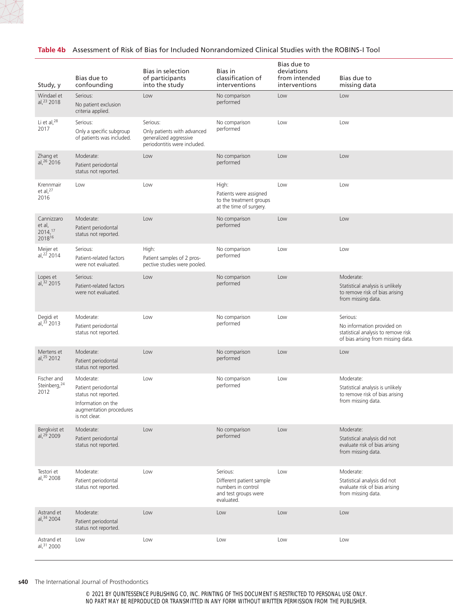

| Study, y                                                | Bias due to<br>confounding                                                                                                 | Bias in selection<br>of participants<br>into the study                                            | Bias in<br>classification of<br>interventions                                                    | Bias due to<br>deviations<br>from intended<br>interventions | Bias due to<br>missing data                                                                                         |
|---------------------------------------------------------|----------------------------------------------------------------------------------------------------------------------------|---------------------------------------------------------------------------------------------------|--------------------------------------------------------------------------------------------------|-------------------------------------------------------------|---------------------------------------------------------------------------------------------------------------------|
| Windael et<br>al, 23 2018                               | Serious:<br>No patient exclusion<br>criteria applied.                                                                      | Low                                                                                               | No comparison<br>performed                                                                       | Low                                                         | Low                                                                                                                 |
| Li et al, 28<br>2017                                    | Serious:<br>Only a specific subgroup<br>of patients was included.                                                          | Serious:<br>Only patients with advanced<br>generalized aggressive<br>periodontitis were included. | No comparison<br>performed                                                                       | Low                                                         | Low                                                                                                                 |
| Zhang et<br>al, 26 2016                                 | Moderate:<br>Patient periodontal<br>status not reported.                                                                   | Low                                                                                               | No comparison<br>performed                                                                       | Low                                                         | Low                                                                                                                 |
| Krennmair<br>et al, $^{27}$<br>2016                     | Low                                                                                                                        | Low                                                                                               | High:<br>Patients were assigned<br>to the treatment groups<br>at the time of surgery.            | Low                                                         | Low                                                                                                                 |
| Cannizzaro<br>et al,<br>$2014,$ <sup>17</sup><br>201816 | Moderate:<br>Patient periodontal<br>status not reported.                                                                   | Low                                                                                               | No comparison<br>performed                                                                       | Low                                                         | Low                                                                                                                 |
| Meijer et<br>al, $^{22}$ 2014                           | Serious:<br>Patient-related factors<br>were not evaluated.                                                                 | High:<br>Patient samples of 2 pros-<br>pective studies were pooled.                               | No comparison<br>performed                                                                       | Low                                                         | Low                                                                                                                 |
| Lopes et<br>al, 32 2015                                 | Serious:<br>Patient-related factors<br>were not evaluated.                                                                 | Low                                                                                               | No comparison<br>performed                                                                       | Low                                                         | Moderate:<br>Statistical analysis is unlikely<br>to remove risk of bias arising<br>from missing data.               |
| Degidi et<br>al, 33 2013                                | Moderate:<br>Patient periodontal<br>status not reported.                                                                   | Low                                                                                               | No comparison<br>performed                                                                       | Low                                                         | Serious:<br>No information provided on<br>statistical analysis to remove risk<br>of bias arising from missing data. |
| Mertens et<br>al, 25 2012                               | Moderate:<br>Patient periodontal<br>status not reported.                                                                   | Low                                                                                               | No comparison<br>performed                                                                       | Low                                                         | Low                                                                                                                 |
| Fischer and<br>Steinberg, 24<br>2012                    | Moderate:<br>Patient periodontal<br>status not reported.<br>Information on the<br>augmentation procedures<br>is not clear. | Low                                                                                               | No comparison<br>performed                                                                       | Low                                                         | Moderate:<br>Statistical analysis is unlikely<br>to remove risk of bias arising<br>from missing data.               |
| Bergkvist et<br>al, <sup>29</sup> 2009                  | Moderate:<br>Patient periodontal<br>status not reported.                                                                   | Low                                                                                               | No comparison<br>performed                                                                       | Low                                                         | Moderate:<br>Statistical analysis did not<br>evaluate risk of bias arising<br>from missing data.                    |
| Testori et<br>al, 30 2008                               | Moderate:<br>Patient periodontal<br>status not reported.                                                                   | Low                                                                                               | Serious:<br>Different patient sample<br>numbers in control<br>and test groups were<br>evaluated. | Low                                                         | Moderate:<br>Statistical analysis did not<br>evaluate risk of bias arising<br>from missing data.                    |
| Astrand et<br>al, 34 2004                               | Moderate:<br>Patient periodontal<br>status not reported.                                                                   | Low                                                                                               | Low                                                                                              | Low                                                         | Low                                                                                                                 |
| Astrand et<br>al, 31 2000                               | Low                                                                                                                        | Low                                                                                               | Low                                                                                              | Low                                                         | Low                                                                                                                 |

#### **s40** The International Journal of Prosthodontics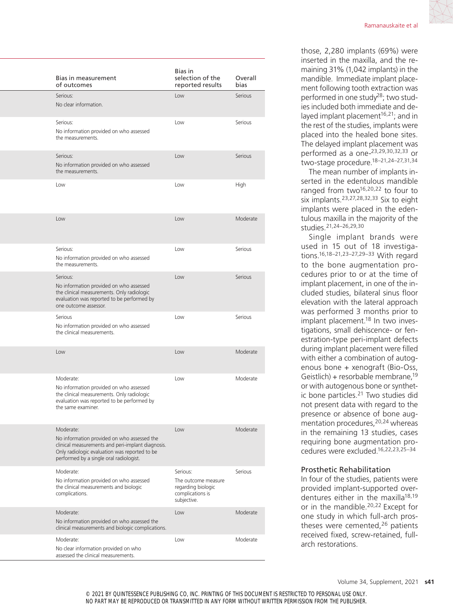| Bias in measurement<br>of outcomes                                                                                                                                                                        | Bias in<br>selection of the<br>reported results                                          | Overall<br>bias |
|-----------------------------------------------------------------------------------------------------------------------------------------------------------------------------------------------------------|------------------------------------------------------------------------------------------|-----------------|
| Serious:<br>No clear information.                                                                                                                                                                         | Low                                                                                      | Serious         |
| Serious:<br>No information provided on who assessed<br>the measurements.                                                                                                                                  | Low                                                                                      | Serious         |
| Serious:<br>No information provided on who assessed<br>the measurements.                                                                                                                                  | Low                                                                                      | Serious         |
| Low                                                                                                                                                                                                       | Low                                                                                      | High            |
| Low                                                                                                                                                                                                       | Low                                                                                      | Moderate        |
| Serious:<br>No information provided on who assessed<br>the measurements.                                                                                                                                  | Low                                                                                      | Serious         |
| Serious:<br>No information provided on who assessed<br>the clinical measurements. Only radiologic<br>evaluation was reported to be performed by<br>one outcome assessor.                                  | Low                                                                                      | Serious         |
| Serious<br>No information provided on who assessed<br>the clinical measurements.                                                                                                                          | Low                                                                                      | Serious         |
| Low                                                                                                                                                                                                       | Low                                                                                      | Moderate        |
| Moderate:<br>No information provided on who assessed<br>the clinical measurements. Only radiologic<br>evaluation was reported to be performed by<br>the same examiner.                                    | Low                                                                                      | Moderate        |
| Moderate:<br>No information provided on who assessed the<br>clinical measurements and peri-implant diagnosis.<br>Only radiologic evaluation was reported to be<br>performed by a single oral radiologist. | Low                                                                                      | Moderate        |
| Moderate:<br>No information provided on who assessed<br>the clinical measurements and biologic<br>complications.                                                                                          | Serious:<br>The outcome measure<br>regarding biologic<br>complications is<br>subjective. | Serious         |
| Moderate:<br>No information provided on who assessed the<br>clinical measurements and biologic complications.                                                                                             | Low                                                                                      | Moderate        |
| Moderate:<br>No clear information provided on who                                                                                                                                                         | Low                                                                                      | Moderate        |

assessed the clinical measurements.

those, 2,280 implants (69%) were inserted in the maxilla, and the remaining 31% (1,042 implants) in the mandible. Immediate implant placement following tooth extraction was performed in one study<sup>28</sup>; two studies included both immediate and delayed implant placement<sup>16,21</sup>; and in the rest of the studies, implants were placed into the healed bone sites. The delayed implant placement was performed as a one-23,29,30,32,33 or two-stage procedure.18–21,24–27,31,34

The mean number of implants inserted in the edentulous mandible ranged from two $16,20,22$  to four to six implants.23,27,28,32,33 Six to eight implants were placed in the edentulous maxilla in the majority of the studies.21,24–26,29,30

Single implant brands were used in 15 out of 18 investigations.16,18–21,23–27,29–33 With regard to the bone augmentation procedures prior to or at the time of implant placement, in one of the included studies, bilateral sinus floor elevation with the lateral approach was performed 3 months prior to implant placement.<sup>18</sup> In two investigations, small dehiscence- or fenestration-type peri-implant defects during implant placement were filled with either a combination of autogenous bone + xenograft (Bio-Oss, Geistlich) + resorbable membrane,19 or with autogenous bone or synthetic bone particles.<sup>21</sup> Two studies did not present data with regard to the presence or absence of bone augmentation procedures, <sup>20,24</sup> whereas in the remaining 13 studies, cases requiring bone augmentation procedures were excluded.16,22,23,25–34

### Prosthetic Rehabilitation

In four of the studies, patients were provided implant-supported overdentures either in the maxilla<sup>18,19</sup> or in the mandible.20,22 Except for one study in which full-arch prostheses were cemented,<sup>26</sup> patients received fixed, screw-retained, fullarch restorations.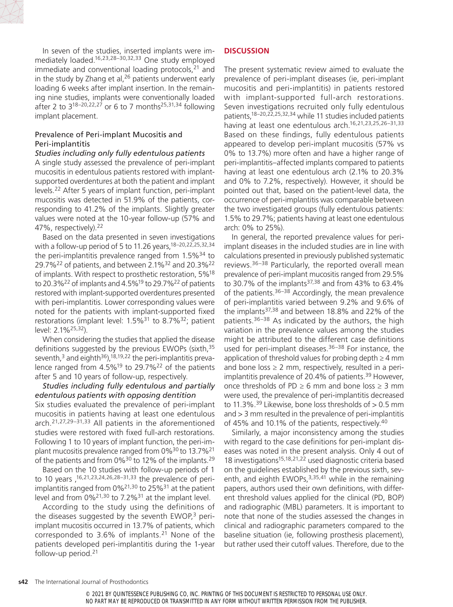In seven of the studies, inserted implants were immediately loaded.16,23,28–30,32,33 One study employed immediate and conventional loading protocols, $21$  and in the study by Zhang et al,  $26$  patients underwent early loading 6 weeks after implant insertion. In the remaining nine studies, implants were conventionally loaded after 2 to  $3^{18-20,22,27}$  or 6 to 7 months<sup>25,31,34</sup> following implant placement.

# Prevalence of Peri-implant Mucositis and Peri-implantitis

### *Studies including only fully edentulous patients*

A single study assessed the prevalence of peri-implant mucositis in edentulous patients restored with implantsupported overdentures at both the patient and implant levels.22 After 5 years of implant function, peri-implant mucositis was detected in 51.9% of the patients, corresponding to 41.2% of the implants. Slightly greater values were noted at the 10-year follow-up (57% and 47%, respectively).22

Based on the data presented in seven investigations with a follow-up period of 5 to 11.26 years,  $18-20,22,25,32,34$ the peri-implantitis prevalence ranged from  $1.5\%^{34}$  to 29.7%22 of patients, and between 2.1%32 and 20.3%22 of implants. With respect to prosthetic restoration, 5%18 to 20.3%<sup>22</sup> of implants and 4.5%<sup>19</sup> to 29.7%<sup>22</sup> of patients restored with implant-supported overdentures presented with peri-implantitis. Lower corresponding values were noted for the patients with implant-supported fixed restorations (implant level:  $1.5\%$ <sup>31</sup> to 8.7%<sup>32</sup>; patient level: 2.1%25,32).

When considering the studies that applied the disease definitions suggested by the previous EWOPs (sixth, 35) seventh, $3$  and eighth $36$ ), $18,19,22$  the peri-implantitis prevalence ranged from 4.5%19 to 29.7%22 of the patients after 5 and 10 years of follow-up, respectively.

# *Studies including fully edentulous and partially edentulous patients with opposing dentition*

Six studies evaluated the prevalence of peri-implant mucositis in patients having at least one edentulous arch.21,27,29–31,33 All patients in the aforementioned studies were restored with fixed full-arch restorations. Following 1 to 10 years of implant function, the peri-implant mucositis prevalence ranged from  $0\%^{30}$  to 13.7%<sup>21</sup> of the patients and from  $0\%^{30}$  to 12% of the implants.<sup>29</sup>

Based on the 10 studies with follow-up periods of 1 to 10 years  $16,21,23,24,26,28-31,33$  the prevalence of periimplantitis ranged from 0%21,30 to 25%31 at the patient level and from  $0\frac{3}{2}$ <sup>1,30</sup> to 7.2%<sup>31</sup> at the implant level.

According to the study using the definitions of the diseases suggested by the seventh  $EWOP<sub>1</sub><sup>3</sup>$  periimplant mucositis occurred in 13.7% of patients, which corresponded to 3.6% of implants.<sup>21</sup> None of the patients developed peri-implantitis during the 1-year follow-up period.21

# **DISCUSSION**

The present systematic review aimed to evaluate the prevalence of peri-implant diseases (ie, peri-implant mucositis and peri-implantitis) in patients restored with implant-supported full-arch restorations. Seven investigations recruited only fully edentulous patients,<sup>18–20,22,25,32,34</sup> while 11 studies included patients having at least one edentulous arch.<sup>16,21,23,25,26-31,33</sup> Based on these findings, fully edentulous patients appeared to develop peri-implant mucositis (57% vs 0% to 13.7%) more often and have a higher range of peri-implantitis–affected implants compared to patients having at least one edentulous arch (2.1% to 20.3% and 0% to 7.2%, respectively). However, it should be pointed out that, based on the patient-level data, the occurrence of peri-implantitis was comparable between the two investigated groups (fully edentulous patients: 1.5% to 29.7%; patients having at least one edentulous arch: 0% to 25%).

In general, the reported prevalence values for periimplant diseases in the included studies are in line with calculations presented in previously published systematic reviews.36–38 Particularly, the reported overall mean prevalence of peri-implant mucositis ranged from 29.5% to 30.7% of the implants<sup>37,38</sup> and from 43% to 63.4% of the patients.<sup>36–38</sup> Accordingly, the mean prevalence of peri-implantitis varied between 9.2% and 9.6% of the implants37,38 and between 18.8% and 22% of the patients.36–38 As indicated by the authors, the high variation in the prevalence values among the studies might be attributed to the different case definitions used for peri-implant diseases. $36-38$  For instance, the application of threshold values for probing depth  $\geq 4$  mm and bone loss  $\geq 2$  mm, respectively, resulted in a periimplantitis prevalence of 20.4% of patients.<sup>39</sup> However, once thresholds of PD  $\geq 6$  mm and bone loss  $\geq 3$  mm were used, the prevalence of peri-implantitis decreased to 11.3%.<sup>39</sup> Likewise, bone loss thresholds of  $> 0.5$  mm and > 3 mm resulted in the prevalence of peri-implantitis of 45% and 10.1% of the patients, respectively.40

Similarly, a major inconsistency among the studies with regard to the case definitions for peri-implant diseases was noted in the present analysis. Only 4 out of 18 investigations15,18,21,22 used diagnostic criteria based on the guidelines established by the previous sixth, seventh, and eighth EWOPs,  $3,35,41$  while in the remaining papers, authors used their own definitions, with different threshold values applied for the clinical (PD, BOP) and radiographic (MBL) parameters. It is important to note that none of the studies assessed the changes in clinical and radiographic parameters compared to the baseline situation (ie, following prosthesis placement), but rather used their cutoff values. Therefore, due to the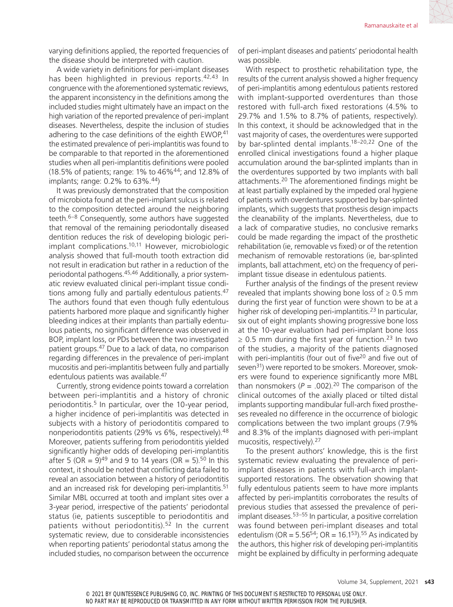varying definitions applied, the reported frequencies of the disease should be interpreted with caution.

A wide variety in definitions for peri-implant diseases has been highlighted in previous reports.<sup>42,43</sup> In congruence with the aforementioned systematic reviews, the apparent inconsistency in the definitions among the included studies might ultimately have an impact on the high variation of the reported prevalence of peri-implant diseases. Nevertheless, despite the inclusion of studies adhering to the case definitions of the eighth EWOP,<sup>41</sup> the estimated prevalence of peri-implantitis was found to be comparable to that reported in the aforementioned studies when all peri-implantitis definitions were pooled (18.5% of patients; range: 1% to 46%44; and 12.8% of implants; range: 0.2% to 63%.44)

It was previously demonstrated that the composition of microbiota found at the peri-implant sulcus is related to the composition detected around the neighboring teeth.6–8 Consequently, some authors have suggested that removal of the remaining periodontally diseased dentition reduces the risk of developing biologic periimplant complications.10,11 However, microbiologic analysis showed that full-mouth tooth extraction did not result in eradication but rather in a reduction of the periodontal pathogens.45,46 Additionally, a prior systematic review evaluated clinical peri-implant tissue conditions among fully and partially edentulous patients.<sup>47</sup> The authors found that even though fully edentulous patients harbored more plaque and significantly higher bleeding indices at their implants than partially edentulous patients, no significant difference was observed in BOP, implant loss, or PDs between the two investigated patient groups.47 Due to a lack of data, no comparison regarding differences in the prevalence of peri-implant mucositis and peri-implantitis between fully and partially edentulous patients was available.<sup>47</sup>

Currently, strong evidence points toward a correlation between peri-implantitis and a history of chronic periodontitis.<sup>5</sup> In particular, over the 10-year period, a higher incidence of peri-implantitis was detected in subjects with a history of periodontitis compared to nonperiodontitis patients (29% vs 6%, respectively).48 Moreover, patients suffering from periodontitis yielded significantly higher odds of developing peri-implantitis after 5 (OR =  $9)^{49}$  and 9 to 14 years (OR = 5).<sup>50</sup> In this context, it should be noted that conflicting data failed to reveal an association between a history of periodontitis and an increased risk for developing peri-implantitis.<sup>51</sup> Similar MBL occurred at tooth and implant sites over a 3-year period, irrespective of the patients' periodontal status (ie, patients susceptible to periodontitis and patients without periodontitis).<sup>52</sup> In the current systematic review, due to considerable inconsistencies when reporting patients' periodontal status among the included studies, no comparison between the occurrence of peri-implant diseases and patients' periodontal health was possible.

With respect to prosthetic rehabilitation type, the results of the current analysis showed a higher frequency of peri-implantitis among edentulous patients restored with implant-supported overdentures than those restored with full-arch fixed restorations (4.5% to 29.7% and 1.5% to 8.7% of patients, respectively). In this context, it should be acknowledged that in the vast majority of cases, the overdentures were supported by bar-splinted dental implants.18–20,22 One of the enrolled clinical investigations found a higher plaque accumulation around the bar-splinted implants than in the overdentures supported by two implants with ball attachments.20 The aforementioned findings might be at least partially explained by the impeded oral hygiene of patients with overdentures supported by bar-splinted implants, which suggests that prosthesis design impacts the cleanability of the implants. Nevertheless, due to a lack of comparative studies, no conclusive remarks could be made regarding the impact of the prosthetic rehabilitation (ie, removable vs fixed) or of the retention mechanism of removable restorations (ie, bar-splinted implants, ball attachment, etc) on the frequency of periimplant tissue disease in edentulous patients.

Further analysis of the findings of the present review revealed that implants showing bone loss of  $\geq 0.5$  mm during the first year of function were shown to be at a higher risk of developing peri-implantitis.<sup>23</sup> In particular, six out of eight implants showing progressive bone loss at the 10-year evaluation had peri-implant bone loss  $\geq$  0.5 mm during the first year of function.<sup>23</sup> In two of the studies, a majority of the patients diagnosed with peri-implantitis (four out of five<sup>20</sup> and five out of seven<sup>31</sup>) were reported to be smokers. Moreover, smokers were found to experience significantly more MBL than nonsmokers  $(P = .002).^{20}$  The comparison of the clinical outcomes of the axially placed or tilted distal implants supporting mandibular full-arch fixed prostheses revealed no difference in the occurrence of biologic complications between the two implant groups (7.9% and 8.3% of the implants diagnosed with peri-implant mucositis, respectively).<sup>27</sup>

To the present authors' knowledge, this is the first systematic review evaluating the prevalence of periimplant diseases in patients with full-arch implantsupported restorations. The observation showing that fully edentulous patients seem to have more implants affected by peri-implantitis corroborates the results of previous studies that assessed the prevalence of periimplant diseases.53–55 In particular, a positive correlation was found between peri-implant diseases and total edentulism (OR =  $5.56^{54}$ ; OR =  $16.1^{53}$ ).<sup>55</sup> As indicated by the authors, this higher risk of developing peri-implantitis might be explained by difficulty in performing adequate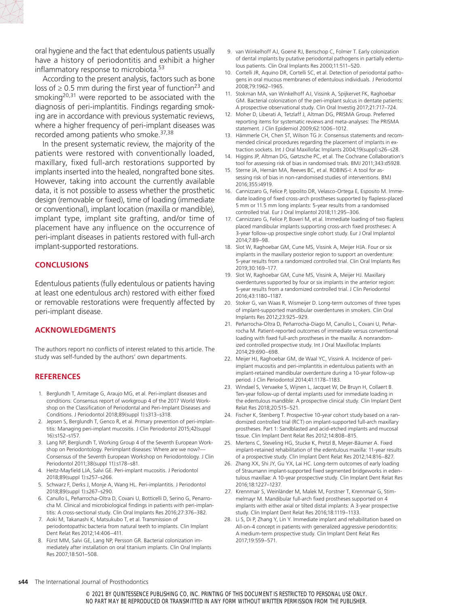oral hygiene and the fact that edentulous patients usually have a history of periodontitis and exhibit a higher inflammatory response to microbiota.<sup>53</sup>

According to the present analysis, factors such as bone loss of  $\geq$  0.5 mm during the first year of function<sup>23</sup> and smoking<sup>20,31</sup> were reported to be associated with the diagnosis of peri-implantitis. Findings regarding smoking are in accordance with previous systematic reviews, where a higher frequency of peri-implant diseases was recorded among patients who smoke.37,38

In the present systematic review, the majority of the patients were restored with conventionally loaded, maxillary, fixed full-arch restorations supported by implants inserted into the healed, nongrafted bone sites. However, taking into account the currently available data, it is not possible to assess whether the prosthetic design (removable or fixed), time of loading (immediate or conventional), implant location (maxilla or mandible), implant type, implant site grafting, and/or time of placement have any influence on the occurrence of peri-implant diseases in patients restored with full-arch implant-supported restorations.

#### **CONCLUSIONS**

Edentulous patients (fully edentulous or patients having at least one edentulous arch) restored with either fixed or removable restorations were frequently affected by peri-implant disease.

### **ACKNOWLEDGMENTS**

The authors report no conflicts of interest related to this article. The study was self-funded by the authors' own departments.

# **REFERENCES**

- 1. Berglundh T, Armitage G, Araujo MG, et al. Peri-implant diseases and conditions: Consensus report of workgroup 4 of the 2017 World Workshop on the Classification of Periodontal and Peri-Implant Diseases and Conditions. J Periodontol 2018;89(suppl 1):s313–s318.
- 2. Jepsen S, Berglundh T, Genco R, et al. Primary prevention of peri-implantitis: Managing peri-implant mucositis. J Clin Periodontol 2015;42(suppl 16):s152–s157.
- 3. Lang NP, Berglundh T, Working Group 4 of the Seventh European Workshop on Periodontology. Periimplant diseases: Where are we now?— Consensus of the Seventh European Workshop on Periodontology. J Clin Periodontol 2011;38(suppl 11):s178–s81.
- 4. Heitz-Mayfield LJA, Salvi GE. Peri-implant mucositis. J Periodontol 2018;89(suppl 1):s257–s266.
- 5. Schwarz F, Derks J, Monje A, Wang HL. Peri-implantitis. J Periodontol 2018;89(suppl 1):s267–s290.
- 6. Canullo L, Peñarrocha-Oltra D, Covani U, Botticelli D, Serino G, Penarrocha M. Clinical and microbiological findings in patients with peri-implantitis: A cross-sectional study. Clin Oral Implants Res 2016;27:376–382.
- 7. Aoki M, Takanashi K, Matsukubo T, et al. Transmission of periodontopathic bacteria from natural teeth to implants. Clin Implant Dent Relat Res 2012;14:406–411.
- 8. Fürst MM, Salvi GE, Lang NP, Persson GR. Bacterial colonization immediately after installation on oral titanium implants. Clin Oral Implants Res 2007;18:501–508.
- 9. van Winkelhoff AJ, Goené RJ, Benschop C, Folmer T. Early colonization of dental implants by putative periodontal pathogens in partially edentulous patients. Clin Oral Implants Res 2000;11:511–520.
- 10. Cortelli JR, Aquino DR, Cortelli SC, et al. Detection of periodontal pathogens in oral mucous membranes of edentulous individuals. J Periodontol 2008;79:1962–1965.
- 11. Stokman MA, van Winkelhoff AJ, Vissink A, Spijkervet FK, Raghoebar GM. Bacterial colonization of the peri-implant sulcus in dentate patients: A prospective observational study. Clin Oral Investig 2017;21:717–724.
- 12. Moher D, Liberati A, Tetzlaff J, Altman DG, PRISMA Group. Preferred reporting items for systematic reviews and meta-analyses: The PRISMA statement. J Clin Epidemiol 2009;62:1006–1012.
- 13. Hämmerle CH, Chen ST, Wilson TG Jr. Consensus statements and recommended clinical procedures regarding the placement of implants in extraction sockets. Int J Oral Maxillofac Implants 2004;19(suppl):s26–s28.
- 14. Higgins JP, Altman DG, Gøtzsche PC, et al. The Cochrane Collaboration's tool for assessing risk of bias in randomised trials. BMJ 2011;343:d5928.
- 15. Sterne JA, Hernán MA, Reeves BC, et al. ROBINS-I: A tool for assessing risk of bias in non-randomised studies of interventions. BMJ 2016;355:i4919.
- 16. Cannizzaro G, Felice P, Ippolito DR, Velasco-Ortega E, Esposito M. Immediate loading of fixed cross-arch prostheses supported by flapless-placed 5 mm or 11.5 mm long implants: 5-year results from a randomised controlled trial. Eur J Oral Implantol 2018;11:295–306.
- 17. Cannizzaro G, Felice P, Boveri M, et al. Immediate loading of two flapless placed mandibular implants supporting cross-arch fixed prostheses: A 3-year follow-up prospective single cohort study. Eur J Oral Implantol 2014;7:89–98.
- 18. Slot W, Raghoebar GM, Cune MS, Vissink A, Meijer HJA. Four or six implants in the maxillary posterior region to support an overdenture: 5-year results from a randomized controlled trial. Clin Oral Implants Res 2019;30:169–177.
- 19. Slot W, Raghoebar GM, Cune MS, Vissink A, Meijer HJ. Maxillary overdentures supported by four or six implants in the anterior region: 5-year results from a randomized controlled trial. J Clin Periodontol 2016;43:1180–1187.
- 20. Stoker G, van Waas R, Wismeijer D. Long-term outcomes of three types of implant-supported mandibular overdentures in smokers. Clin Oral Implants Res 2012;23:925–929.
- 21. Peñarrocha-Oltra D, Peñarrocha-Diago M, Canullo L, Covani U, Peñarrocha M. Patient-reported outcomes of immediate versus conventional loading with fixed full-arch prostheses in the maxilla: A nonrandomized controlled prospective study. Int J Oral Maxillofac Implants 2014;29:690–698.
- 22. Meijer HJ, Raghoebar GM, de Waal YC, Vissink A. Incidence of periimplant mucositis and peri-implantitis in edentulous patients with an implant-retained mandibular overdenture during a 10-year follow-up period. J Clin Periodontol 2014;41:1178–1183.
- 23. Windael S, Vervaeke S, Wijnen L, Jacquet W, De Bruyn H, Collaert B. Ten-year follow-up of dental implants used for immediate loading in the edentulous mandible: A prospective clinical study. Clin Implant Dent Relat Res 2018;20:515–521.
- 24. Fischer K, Stenberg T. Prospective 10-year cohort study based on a randomized controlled trial (RCT) on implant-supported full-arch maxillary prostheses. Part 1: Sandblasted and acid-etched implants and mucosal tissue. Clin Implant Dent Relat Res 2012;14:808–815.
- 25. Mertens C, Steveling HG, Stucke K, Pretzl B, Meyer-Bäumer A. Fixed implant-retained rehabilitation of the edentulous maxilla: 11-year results of a prospective study. Clin Implant Dent Relat Res 2012;14:816–827.
- 26. Zhang XX, Shi JY, Gu YX, Lai HC. Long-term outcomes of early loading of Straumann implant-supported fixed segmented bridgeworks in edentulous maxillae: A 10-year prospective study. Clin Implant Dent Relat Res 2016;18:1227–1237.
- 27. Krennmair S, Weinländer M, Malek M, Forstner T, Krennmair G, Stimmelmayr M. Mandibular full-arch fixed prostheses supported on 4 implants with either axial or tilted distal implants: A 3-year prospective study. Clin Implant Dent Relat Res 2016;18:1119–1133.
- 28. Li S, Di P, Zhang Y, Lin Y. Immediate implant and rehabilitation based on All-on-4 concept in patients with generalized aggressive periodontitis: A medium-term prospective study. Clin Implant Dent Relat Res 2017;19:559–571.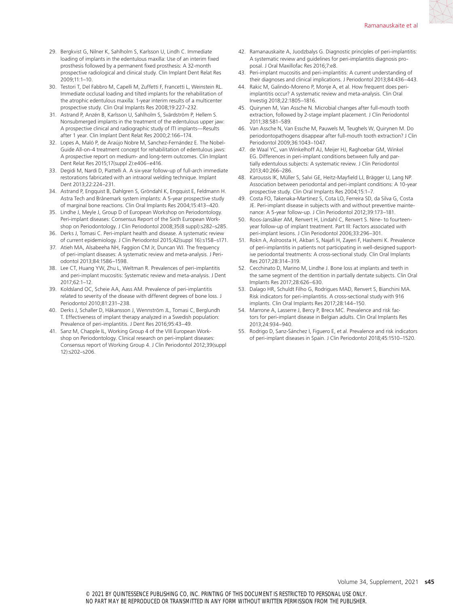- 29. Bergkvist G, Nilner K, Sahlholm S, Karlsson U, Lindh C. Immediate loading of implants in the edentulous maxilla: Use of an interim fixed prosthesis followed by a permanent fixed prosthesis: A 32-month prospective radiological and clinical study. Clin Implant Dent Relat Res 2009;11:1–10.
- 30. Testori T, Del Fabbro M, Capelli M, Zuffetti F, Francetti L, Weinstein RL. Immediate occlusal loading and tilted implants for the rehabilitation of the atrophic edentulous maxilla: 1-year interim results of a multicenter prospective study. Clin Oral Implants Res 2008;19:227–232.
- 31. Astrand P, Anzén B, Karlsson U, Sahlholm S, Svärdström P, Hellem S. Nonsubmerged implants in the treatment of the edentulous upper jaw: A prospective clinical and radiographic study of ITI implants—Results after 1 year. Clin Implant Dent Relat Res 2000;2:166–174.
- 32. Lopes A, Maló P, de Araújo Nobre M, Sanchez-Fernández E. The Nobel-Guide All-on-4 treatment concept for rehabilitation of edentulous jaws: A prospective report on medium- and long-term outcomes. Clin Implant Dent Relat Res 2015;17(suppl 2):e406–e416.
- 33. Degidi M, Nardi D, Piattelli A. A six-year follow-up of full-arch immediate restorations fabricated with an intraoral welding technique. Implant Dent 2013;22:224–231.
- 34. Astrand P, Engquist B, Dahlgren S, Gröndahl K, Engquist E, Feldmann H. Astra Tech and Brånemark system implants: A 5-year prospective study of marginal bone reactions. Clin Oral Implants Res 2004;15:413–420.
- 35. Lindhe J, Meyle J, Group D of European Workshop on Periodontology. Peri-implant diseases: Consensus Report of the Sixth European Workshop on Periodontology. J Clin Periodontol 2008;35(8 suppl):s282–s285.
- 36. Derks J, Tomasi C. Peri-implant health and disease. A systematic review of current epidemiology. J Clin Periodontol 2015;42(suppl 16):s158–s171.
- 37. Atieh MA, Alsabeeha NH, Faggion CM Jr, Duncan WJ. The frequency of peri-implant diseases: A systematic review and meta-analysis. J Periodontol 2013;84:1586–1598.
- 38. Lee CT, Huang YW, Zhu L, Weltman R. Prevalences of peri-implantitis and peri-implant mucositis: Systematic review and meta-analysis. J Dent 2017;62:1–12.
- 39. Koldsland OC, Scheie AA, Aass AM. Prevalence of peri-implantitis related to severity of the disease with different degrees of bone loss. J Periodontol 2010;81:231–238.
- 40. Derks J, Schaller D, Håkansson J, Wennström JL, Tomasi C, Berglundh T. Effectiveness of implant therapy analyzed in a Swedish population: Prevalence of peri-implantitis. J Dent Res 2016;95:43–49.
- 41. Sanz M, Chapple IL, Working Group 4 of the VIII European Workshop on Periodontology. Clinical research on peri-implant diseases: Consensus report of Working Group 4. J Clin Periodontol 2012;39(suppl 12):s202–s206.
- 42. Ramanauskaite A, Juodzbalys G. Diagnostic principles of peri-implantitis: A systematic review and guidelines for peri-implantitis diagnosis proposal. J Oral Maxillofac Res 2016;7:e8.
- 43. Peri-implant mucositis and peri-implantitis: A current understanding of their diagnoses and clinical implications. J Periodontol 2013;84:436–443.
- 44. Rakic M, Galindo-Moreno P, Monje A, et al. How frequent does periimplantitis occur? A systematic review and meta-analysis. Clin Oral Investig 2018;22:1805–1816.
- 45. Quirynen M, Van Assche N. Microbial changes after full-mouth tooth extraction, followed by 2-stage implant placement. J Clin Periodontol 2011;38:581–589.
- 46. Van Assche N, Van Essche M, Pauwels M, Teughels W, Quirynen M. Do periodontopathogens disappear after full-mouth tooth extraction? J Clin Periodontol 2009;36:1043–1047.
- 47. de Waal YC, van Winkelhoff AJ, Meijer HJ, Raghoebar GM, Winkel EG. Differences in peri-implant conditions between fully and partially edentulous subjects: A systematic review. J Clin Periodontol 2013;40:266–286.
- 48. Karoussis IK, Müller S, Salvi GE, Heitz-Mayfield LJ, Brägger U, Lang NP. Association between periodontal and peri-implant conditions: A 10-year prospective study. Clin Oral Implants Res 2004;15:1–7.
- 49. Costa FO, Takenaka-Martinez S, Cota LO, Ferreira SD, da Silva G, Costa JE. Peri-implant disease in subjects with and without preventive maintenance: A 5-year follow-up. J Clin Periodontol 2012;39:173–181.
- 50. Roos-Jansåker AM, Renvert H, Lindahl C, Renvert S. Nine- to fourteenyear follow-up of implant treatment. Part III: Factors associated with peri-implant lesions. J Clin Periodontol 2006;33:296–301.
- 51. Rokn A, Aslroosta H, Akbari S, Najafi H, Zayeri F, Hashemi K. Prevalence of peri-implantitis in patients not participating in well-designed supportive periodontal treatments: A cross-sectional study. Clin Oral Implants Res 2017;28:314–319.
- 52. Cecchinato D, Marino M, Lindhe J. Bone loss at implants and teeth in the same segment of the dentition in partially dentate subjects. Clin Oral Implants Res 2017;28:626–630.
- 53. Dalago HR, Schuldt Filho G, Rodrigues MAD, Renvert S, Bianchini MA. Risk indicators for peri-implantitis. A cross-sectional study with 916 implants. Clin Oral Implants Res 2017;28:144–150.
- 54. Marrone A, Lasserre J, Bercy P, Brecx MC. Prevalence and risk factors for peri-implant disease in Belgian adults. Clin Oral Implants Res 2013;24:934–940.
- 55. Rodrigo D, Sanz-Sánchez I, Figuero E, et al. Prevalence and risk indicators of peri-implant diseases in Spain. J Clin Periodontol 2018;45:1510–1520.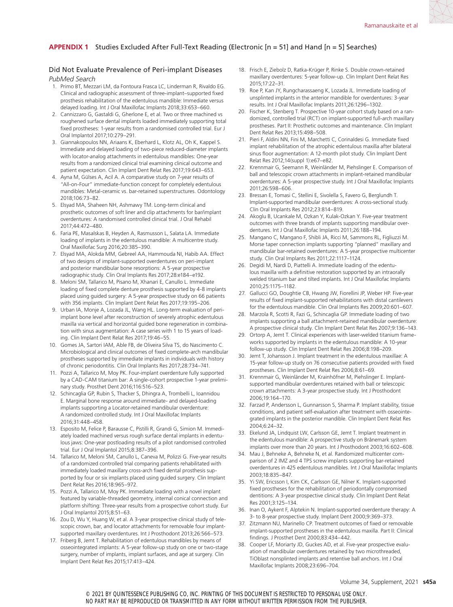# Did Not Evaluate Prevalence of Peri-implant Diseases

*PubMed Search*

- 1. Primo BT, Mezzari LM, da Fontoura Frasca LC, Linderman R, Rivaldo EG. Clinical and radiographic assessment of three-implant–supported fixed prosthesis rehabilitation of the edentulous mandible: Immediate versus delayed loading. Int J Oral Maxillofac Implants 2018;33:653–660.
- 2. Cannizzaro G, Gastaldi G, Gherlone E, et al. Two or three machined vs roughened surface dental implants loaded immediately supporting total fixed prostheses: 1-year results from a randomised controlled trial. Eur J Oral Implantol 2017;10:279–291.
- 3. Giannakopoulos NN, Ariaans K, Eberhard L, Klotz AL, Oh K, Kappel S. Immediate and delayed loading of two-piece reduced-diameter implants with locator-analog attachments in edentulous mandibles: One-year results from a randomized clinical trial examining clinical outcome and patient expectation. Clin Implant Dent Relat Res 2017;19:643–653.
- 4. Ayna M, Gülses A, Acil A. A comparative study on 7-year results of "All-on-Four" immediate-function concept for completely edentulous mandibles: Metal-ceramic vs. bar-retained superstructures. Odontology 2018;106:73–82.
- 5. Elsyad MA, Shaheen NH, Ashmawy TM. Long-term clinical and prosthetic outcomes of soft liner and clip attachments for bar/implant overdentures: A randomised controlled clinical trial. J Oral Rehabil 2017;44:472–480.
- 6. Faria PE, Masalskas B, Heyden A, Rasmusson L, Salata LA. Immediate loading of implants in the edentulous mandible: A multicentre study. Oral Maxillofac Surg 2016;20:385–390.
- 7. Elsyad MA, Alokda MM, Gebreel AA, Hammouda NI, Habib AA. Effect of two designs of implant-supported overdentures on peri-implant and posterior mandibular bone resorptions: A 5-year prospective radiographic study. Clin Oral Implants Res 2017;28:e184–e192.
- 8. Meloni SM, Tallarico M, Pisano M, Xhanari E, Canullo L. Immediate loading of fixed complete denture prosthesis supported by 4-8 implants placed using guided surgery: A 5-year prospective study on 66 patients with 356 implants. Clin Implant Dent Relat Res 2017;19:195–206.
- 9. Urban IA, Monje A, Lozada JL, Wang HL. Long-term evaluation of periimplant bone level after reconstruction of severely atrophic edentulous maxilla via vertical and horizontal guided bone regeneration in combination with sinus augmentation: A case series with 1 to 15 years of loading. Clin Implant Dent Relat Res 2017;19:46–55.
- 10. Gomes JA, Sartori IAM, Able FB, de Oliveira Silva TS, do Nascimento C. Microbiological and clinical outcomes of fixed complete-arch mandibular prostheses supported by immediate implants in individuals with history of chronic periodontitis. Clin Oral Implants Res 2017;28:734–741.
- 11. Pozzi A, Tallarico M, Moy PK. Four-implant overdenture fully supported by a CAD-CAM titanium bar: A single-cohort prospective 1-year preliminary study. Prosthet Dent 2016;116:516–523.
- 12. Schincaglia GP, Rubin S, Thacker S, Dhingra A, Trombelli L, Ioannidou E. Marginal bone response around immediate- and delayed-loading implants supporting a Locator-retained mandibular overdenture: A randomized controlled study. Int J Oral Maxillofac Implants 2016;31:448–458.
- 13. Esposito M, Felice P, Barausse C, Pistilli R, Grandi G, Simion M. Immediately loaded machined versus rough surface dental implants in edentulous jaws: One-year postloading results of a pilot randomised controlled trial. Eur J Oral Implantol 2015;8:387–396.
- 14. Tallarico M, Meloni SM, Canullo L, Caneva M, Polizzi G. Five-year results of a randomized controlled trial comparing patients rehabilitated with immediately loaded maxillary cross-arch fixed dental prosthesis supported by four or six implants placed using guided surgery. Clin Implant Dent Relat Res 2016;18:965–972.
- 15. Pozzi A, Tallarico M, Moy PK. Immediate loading with a novel implant featured by variable-threaded geometry, internal conical connection and platform shifting: Three-year results from a prospective cohort study. Eur J Oral Implantol 2015;8:51–63.
- 16. Zou D, Wu Y, Huang W, et al. A 3-year prospective clinical study of telescopic crown, bar, and locator attachments for removable four implantsupported maxillary overdentures. Int J Prosthodont 2013;26:566–573.
- 17. Friberg B, Jemt T. Rehabilitation of edentulous mandibles by means of osseointegrated implants: A 5-year follow-up study on one or two-stage surgery, number of implants, implant surfaces, and age at surgery. Clin Implant Dent Relat Res 2015;17:413–424.
- 18. Frisch E, Ziebolz D, Ratka-Krüger P, Rinke S. Double crown-retained maxillary overdentures: 5-year follow-up. Clin Implant Dent Relat Res 2015;17:22–31.
- 19. Roe P, Kan JY, Rungcharassaeng K, Lozada JL. Immediate loading of unsplinted implants in the anterior mandible for overdentures: 3-year results. Int J Oral Maxillofac Implants 2011;26:1296–1302.
- 20. Fischer K, Stenberg T. Prospective 10-year cohort study based on a randomized, controlled trial (RCT) on implant-supported full-arch maxillary prostheses. Part II: Prosthetic outcomes and maintenance. Clin Implant Dent Relat Res 2013;15:498–508.
- 21. Pieri F, Aldini NN, Fini M, Marchetti C, Corinaldesi G. Immediate fixed implant rehabilitation of the atrophic edentulous maxilla after bilateral sinus floor augmentation: A 12-month pilot study. Clin Implant Dent Relat Res 2012;14(suppl 1):e67–e82.
- 22. Krennmair G, Seemann R, Weinländer M, Piehslinger E. Comparison of ball and telescopic crown attachments in implant-retained mandibular overdentures: A 5-year prospective study. Int J Oral Maxillofac Implants 2011;26:598–606.
- 23. Bressan E, Tomasi C, Stellini E, Sivolella S, Favero G, Berglundh T. Implant-supported mandibular overdentures: A cross-sectional study. Clin Oral Implants Res 2012;23:814–819.
- 24. Akoglu B, Ucankale M, Ozkan Y, Kulak-Ozkan Y. Five-year treatment outcomes with three brands of implants supporting mandibular overdentures. Int J Oral Maxillofac Implants 2011;26:188–194.
- 25. Mangano C, Mangano F, Shibli JA, Ricci M, Sammons RL, Figliuzzi M. Morse taper connection implants supporting "planned" maxillary and mandibular bar-retained overdentures: A 5-year prospective multicenter study. Clin Oral Implants Res 2011;22:1117–1124.
- 26. Degidi M, Nardi D, Piattelli A. Immediate loading of the edentulous maxilla with a definitive restoration supported by an intraorally welded titanium bar and tilted implants. Int J Oral Maxillofac Implants 2010;25:1175–1182.
- 27. Gallucci GO, Doughtie CB, Hwang JW, Fiorellini JP, Weber HP. Five-year results of fixed implant-supported rehabilitations with distal cantilevers for the edentulous mandible. Clin Oral Implants Res 2009;20:601–607.
- 28. Marzola R, Scotti R, Fazi G, Schincaglia GP. Immediate loading of two implants supporting a ball attachment-retained mandibular overdenture: A prospective clinical study. Clin Implant Dent Relat Res 2007;9:136–143.
- 29. Ortorp A, Jemt T. Clinical experiences with laser-welded titanium frameworks supported by implants in the edentulous mandible: A 10-year follow-up study. Clin Implant Dent Relat Res 2006;8:198–209.
- 30. Jemt T, Johansson J. Implant treatment in the edentulous maxillae: A 15-year follow-up study on 76 consecutive patients provided with fixed prostheses. Clin Implant Dent Relat Res 2006;8:61–69.
- 31. Krennmair G, Weinländer M, Krainhöfner M, Piehslinger E. Implantsupported mandibular overdentures retained with ball or telescopic crown attachments: A 3-year prospective study. Int J Prosthodont 2006;19:164–170.
- 32. Farzad P, Andersson L, Gunnarsson S, Sharma P. Implant stability, tissue conditions, and patient self-evaluation after treatment with osseointegrated implants in the posterior mandible. Clin Implant Dent Relat Res 2004;6:24–32.
- 33. Ekelund JA, Lindquist LW, Carlsson GE, Jemt T. Implant treatment in the edentulous mandible: A prospective study on Brånemark system implants over more than 20 years. Int J Prosthodont 2003;16:602–608.
- 34. Mau J, Behneke A, Behneke N, et al. Randomized multicenter comparison of 2 IMZ and 4 TPS screw implants supporting bar-retained overdentures in 425 edentulous mandibles. Int J Oral Maxillofac Implants 2003;18:835–847.
- 35. Yi SW, Ericsson I, Kim CK, Carlsson GE, Nilner K. Implant-supported fixed prostheses for the rehabilitation of periodontally compromised dentitions: A 3-year prospective clinical study. Clin Implant Dent Relat Res 2001;3:125–134.
- 36. Inan O, Aykent F, Alptekin N. Implant-supported overdenture therapy: A 3- to 8-year prospective study. Implant Dent 2000;9:369–373.
- 37. Zitzmann NU, Marinello CP. Treatment outcomes of fixed or removable implant-supported prostheses in the edentulous maxilla. Part II: Clinical findings. J Prosthet Dent 2000;83:434–442.
- 38. Cooper LF, Moriarty JD, Guckes AD, et al. Five-year prospective evaluation of mandibular overdentures retained by two microthreaded, TiOblast nonsplinted implants and retentive ball anchors. Int J Oral Maxillofac Implants 2008;23:696–704.